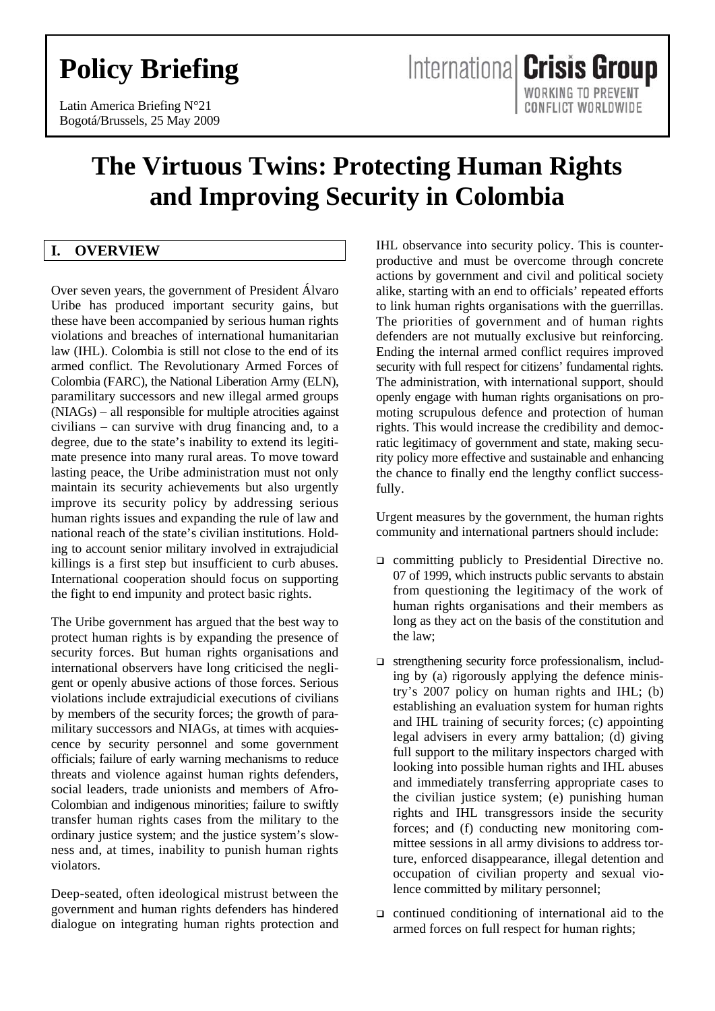# **Policy Briefing**

Latin America Briefing N°21 Bogotá/Brussels, 25 May 2009

# **The Virtuous Twins: Protecting Human Rights and Improving Security in Colombia**

# **I. OVERVIEW**

Over seven years, the government of President Álvaro Uribe has produced important security gains, but these have been accompanied by serious human rights violations and breaches of international humanitarian law (IHL). Colombia is still not close to the end of its armed conflict. The Revolutionary Armed Forces of Colombia (FARC), the National Liberation Army (ELN), paramilitary successors and new illegal armed groups (NIAGs) – all responsible for multiple atrocities against civilians – can survive with drug financing and, to a degree, due to the state's inability to extend its legitimate presence into many rural areas. To move toward lasting peace, the Uribe administration must not only maintain its security achievements but also urgently improve its security policy by addressing serious human rights issues and expanding the rule of law and national reach of the state's civilian institutions. Holding to account senior military involved in extrajudicial killings is a first step but insufficient to curb abuses. International cooperation should focus on supporting the fight to end impunity and protect basic rights.

The Uribe government has argued that the best way to protect human rights is by expanding the presence of security forces. But human rights organisations and international observers have long criticised the negligent or openly abusive actions of those forces. Serious violations include extrajudicial executions of civilians by members of the security forces; the growth of paramilitary successors and NIAGs, at times with acquiescence by security personnel and some government officials; failure of early warning mechanisms to reduce threats and violence against human rights defenders, social leaders, trade unionists and members of Afro-Colombian and indigenous minorities; failure to swiftly transfer human rights cases from the military to the ordinary justice system; and the justice system's slowness and, at times, inability to punish human rights violators.

Deep-seated, often ideological mistrust between the government and human rights defenders has hindered dialogue on integrating human rights protection and IHL observance into security policy. This is counterproductive and must be overcome through concrete actions by government and civil and political society alike, starting with an end to officials' repeated efforts to link human rights organisations with the guerrillas. The priorities of government and of human rights defenders are not mutually exclusive but reinforcing. Ending the internal armed conflict requires improved security with full respect for citizens' fundamental rights. The administration, with international support, should openly engage with human rights organisations on promoting scrupulous defence and protection of human rights. This would increase the credibility and democratic legitimacy of government and state, making security policy more effective and sustainable and enhancing the chance to finally end the lengthy conflict successfully.

Urgent measures by the government, the human rights community and international partners should include:

- committing publicly to Presidential Directive no. 07 of 1999, which instructs public servants to abstain from questioning the legitimacy of the work of human rights organisations and their members as long as they act on the basis of the constitution and the law;
- strengthening security force professionalism, including by (a) rigorously applying the defence ministry's 2007 policy on human rights and IHL; (b) establishing an evaluation system for human rights and IHL training of security forces; (c) appointing legal advisers in every army battalion; (d) giving full support to the military inspectors charged with looking into possible human rights and IHL abuses and immediately transferring appropriate cases to the civilian justice system; (e) punishing human rights and IHL transgressors inside the security forces; and (f) conducting new monitoring committee sessions in all army divisions to address torture, enforced disappearance, illegal detention and occupation of civilian property and sexual violence committed by military personnel;
- $\Box$  continued conditioning of international aid to the armed forces on full respect for human rights;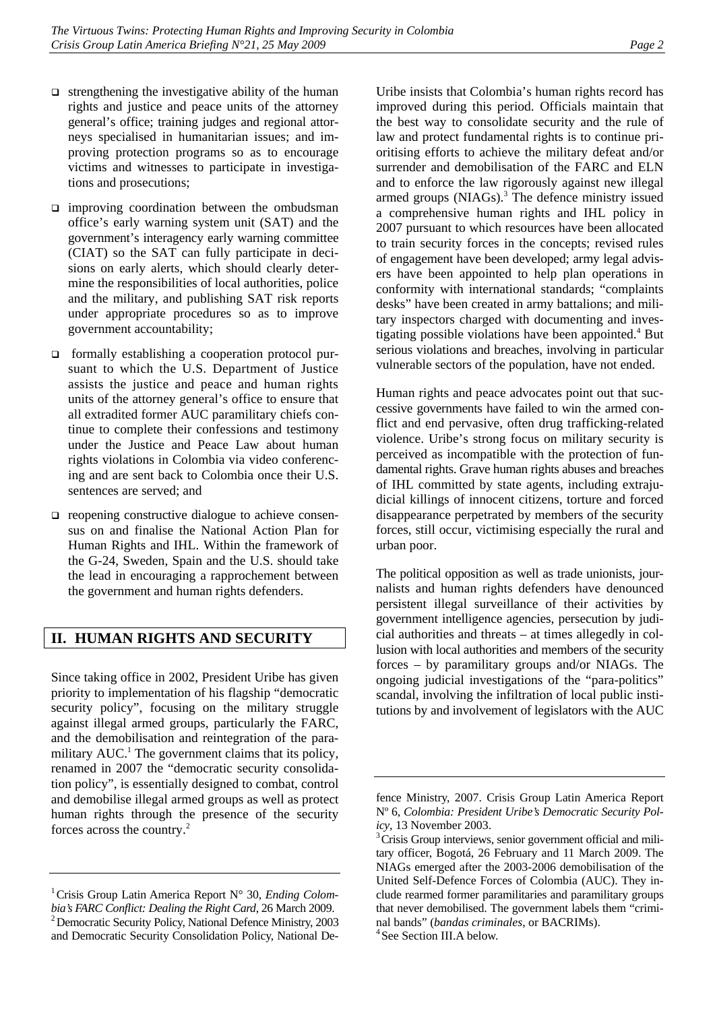- $\Box$  strengthening the investigative ability of the human rights and justice and peace units of the attorney general's office; training judges and regional attorneys specialised in humanitarian issues; and improving protection programs so as to encourage victims and witnesses to participate in investigations and prosecutions;
- $\Box$  improving coordination between the ombudsman office's early warning system unit (SAT) and the government's interagency early warning committee (CIAT) so the SAT can fully participate in decisions on early alerts, which should clearly determine the responsibilities of local authorities, police and the military, and publishing SAT risk reports under appropriate procedures so as to improve government accountability;
- formally establishing a cooperation protocol pursuant to which the U.S. Department of Justice assists the justice and peace and human rights units of the attorney general's office to ensure that all extradited former AUC paramilitary chiefs continue to complete their confessions and testimony under the Justice and Peace Law about human rights violations in Colombia via video conferencing and are sent back to Colombia once their U.S. sentences are served; and
- $\Box$  reopening constructive dialogue to achieve consensus on and finalise the National Action Plan for Human Rights and IHL. Within the framework of the G-24, Sweden, Spain and the U.S. should take the lead in encouraging a rapprochement between the government and human rights defenders.

# **II. HUMAN RIGHTS AND SECURITY**

Since taking office in 2002, President Uribe has given priority to implementation of his flagship "democratic security policy", focusing on the military struggle against illegal armed groups, particularly the FARC, and the demobilisation and reintegration of the paramilitary  $AUC<sup>1</sup>$ . The government claims that its policy, renamed in 2007 the "democratic security consolidation policy", is essentially designed to combat, control and demobilise illegal armed groups as well as protect human rights through the presence of the security forces across the country.<sup>2</sup>

Uribe insists that Colombia's human rights record has improved during this period. Officials maintain that the best way to consolidate security and the rule of law and protect fundamental rights is to continue prioritising efforts to achieve the military defeat and/or surrender and demobilisation of the FARC and ELN and to enforce the law rigorously against new illegal armed groups (NIAGs).<sup>3</sup> The defence ministry issued a comprehensive human rights and IHL policy in 2007 pursuant to which resources have been allocated to train security forces in the concepts; revised rules of engagement have been developed; army legal advisers have been appointed to help plan operations in conformity with international standards; "complaints desks" have been created in army battalions; and military inspectors charged with documenting and investigating possible violations have been appointed.<sup>4</sup> But serious violations and breaches, involving in particular vulnerable sectors of the population, have not ended.

Human rights and peace advocates point out that successive governments have failed to win the armed conflict and end pervasive, often drug trafficking-related violence. Uribe's strong focus on military security is perceived as incompatible with the protection of fundamental rights. Grave human rights abuses and breaches of IHL committed by state agents, including extrajudicial killings of innocent citizens, torture and forced disappearance perpetrated by members of the security forces, still occur, victimising especially the rural and urban poor.

The political opposition as well as trade unionists, journalists and human rights defenders have denounced persistent illegal surveillance of their activities by government intelligence agencies, persecution by judicial authorities and threats – at times allegedly in collusion with local authorities and members of the security forces – by paramilitary groups and/or NIAGs. The ongoing judicial investigations of the "para-politics" scandal, involving the infiltration of local public institutions by and involvement of legislators with the AUC

<sup>4</sup> See Section III.A below.

<sup>&</sup>lt;sup>1</sup> Crisis Group Latin America Report N° 30, *Ending Colom*bia's FARC Conflict: Dealing the Right Card, 26 March 2009. <sup>2</sup> Democratic Security Policy, National Defence Ministry, 2003 and Democratic Security Consolidation Policy, National De-

fence Ministry, 2007. Crisis Group Latin America Report Nº 6, *Colombia: President Uribe's Democratic Security Policy*, 13 November 2003.

<sup>&</sup>lt;sup>3</sup> Crisis Group interviews, senior government official and military officer, Bogotá, 26 February and 11 March 2009. The NIAGs emerged after the 2003-2006 demobilisation of the United Self-Defence Forces of Colombia (AUC). They include rearmed former paramilitaries and paramilitary groups that never demobilised. The government labels them "criminal bands" (*bandas criminales*, or BACRIMs). 4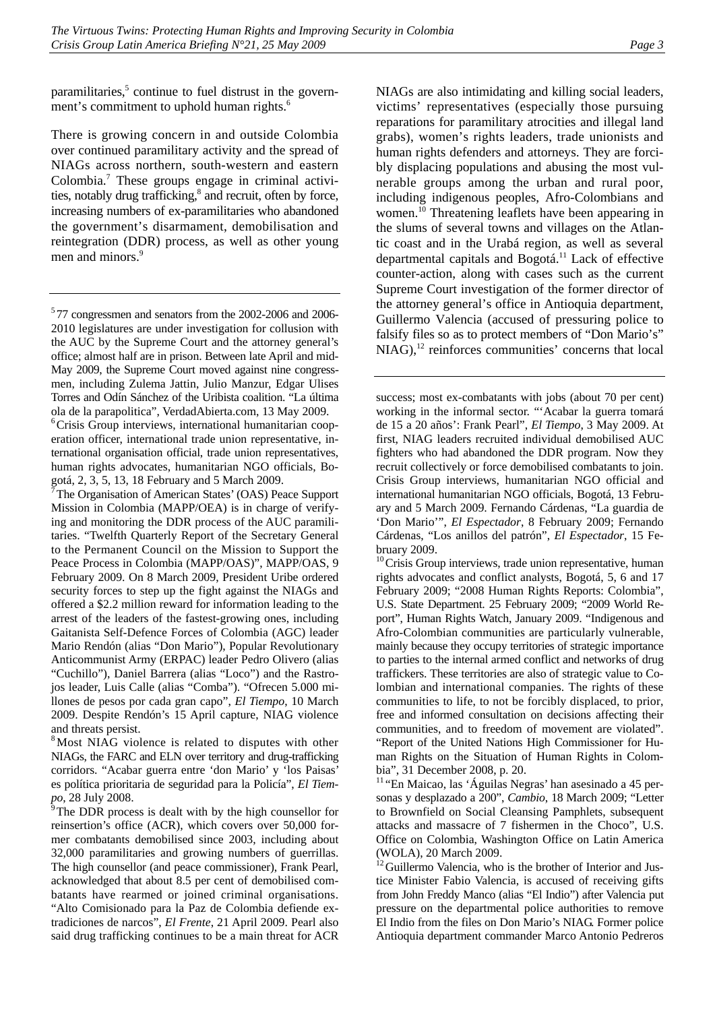paramilitaries,<sup>5</sup> continue to fuel distrust in the government's commitment to uphold human rights.<sup>6</sup>

There is growing concern in and outside Colombia over continued paramilitary activity and the spread of NIAGs across northern, south-western and eastern Colombia.<sup>7</sup> These groups engage in criminal activities, notably drug trafficking,<sup>8</sup> and recruit, often by force, increasing numbers of ex-paramilitaries who abandoned the government's disarmament, demobilisation and reintegration (DDR) process, as well as other young men and minors.<sup>9</sup>

5 77 congressmen and senators from the 2002-2006 and 2006- 2010 legislatures are under investigation for collusion with the AUC by the Supreme Court and the attorney general's office; almost half are in prison. Between late April and mid-May 2009, the Supreme Court moved against nine congressmen, including Zulema Jattin, Julio Manzur, Edgar Ulises Torres and Odín Sánchez of the Uribista coalition. "La última ola de la parapolitica", VerdadAbierta.com, 13 May 2009.

6 Crisis Group interviews, international humanitarian cooperation officer, international trade union representative, international organisation official, trade union representatives, human rights advocates, humanitarian NGO officials, Bogotá, 2, 3, 5, 13, 18 February and 5 March 2009.

<sup>7</sup>The Organisation of American States' (OAS) Peace Support Mission in Colombia (MAPP/OEA) is in charge of verifying and monitoring the DDR process of the AUC paramilitaries. "Twelfth Quarterly Report of the Secretary General to the Permanent Council on the Mission to Support the Peace Process in Colombia (MAPP/OAS)", MAPP/OAS, 9 February 2009. On 8 March 2009, President Uribe ordered security forces to step up the fight against the NIAGs and offered a \$2.2 million reward for information leading to the arrest of the leaders of the fastest-growing ones, including Gaitanista Self-Defence Forces of Colombia (AGC) leader Mario Rendón (alias "Don Mario"), Popular Revolutionary Anticommunist Army (ERPAC) leader Pedro Olivero (alias "Cuchillo"), Daniel Barrera (alias "Loco") and the Rastrojos leader, Luis Calle (alias "Comba"). "Ofrecen 5.000 millones de pesos por cada gran capo", *El Tiempo*, 10 March 2009. Despite Rendón's 15 April capture, NIAG violence and threats persist.

<sup>8</sup>Most NIAG violence is related to disputes with other NIAGs, the FARC and ELN over territory and drug-trafficking corridors. "Acabar guerra entre 'don Mario' y 'los Paisas' es política prioritaria de seguridad para la Policía", *El Tiempo*, 28 July 2008.

 $\overline{P}$ The DDR process is dealt with by the high counsellor for reinsertion's office (ACR), which covers over 50,000 former combatants demobilised since 2003, including about 32,000 paramilitaries and growing numbers of guerrillas. The high counsellor (and peace commissioner), Frank Pearl, acknowledged that about 8.5 per cent of demobilised combatants have rearmed or joined criminal organisations. "Alto Comisionado para la Paz de Colombia defiende extradiciones de narcos", *El Frente*, 21 April 2009. Pearl also said drug trafficking continues to be a main threat for ACR

NIAGs are also intimidating and killing social leaders, victims' representatives (especially those pursuing reparations for paramilitary atrocities and illegal land grabs), women's rights leaders, trade unionists and human rights defenders and attorneys. They are forcibly displacing populations and abusing the most vulnerable groups among the urban and rural poor, including indigenous peoples, Afro-Colombians and women.<sup>10</sup> Threatening leaflets have been appearing in the slums of several towns and villages on the Atlantic coast and in the Urabá region, as well as several departmental capitals and Bogotá.<sup>11</sup> Lack of effective counter-action, along with cases such as the current Supreme Court investigation of the former director of the attorney general's office in Antioquia department, Guillermo Valencia (accused of pressuring police to falsify files so as to protect members of "Don Mario's"  $N<sub>1</sub>AG$ ),<sup>12</sup> reinforces communities' concerns that local

success; most ex-combatants with jobs (about 70 per cent) working in the informal sector. "'Acabar la guerra tomará de 15 a 20 años': Frank Pearl", *El Tiempo*, 3 May 2009. At first, NIAG leaders recruited individual demobilised AUC fighters who had abandoned the DDR program. Now they recruit collectively or force demobilised combatants to join. Crisis Group interviews, humanitarian NGO official and international humanitarian NGO officials, Bogotá, 13 February and 5 March 2009. Fernando Cárdenas, "La guardia de 'Don Mario'", *El Espectador*, 8 February 2009; Fernando Cárdenas, "Los anillos del patrón", *El Espectador*, 15 February 2009.

 $10$ Crisis Group interviews, trade union representative, human rights advocates and conflict analysts, Bogotá, 5, 6 and 17 February 2009; "2008 Human Rights Reports: Colombia", U.S. State Department. 25 February 2009; "2009 World Report", Human Rights Watch, January 2009. "Indigenous and Afro-Colombian communities are particularly vulnerable, mainly because they occupy territories of strategic importance to parties to the internal armed conflict and networks of drug traffickers. These territories are also of strategic value to Colombian and international companies. The rights of these communities to life, to not be forcibly displaced, to prior, free and informed consultation on decisions affecting their communities, and to freedom of movement are violated". "Report of the United Nations High Commissioner for Human Rights on the Situation of Human Rights in Colombia", 31 December 2008, p. 20.

<sup>11</sup> "En Maicao, las 'Águilas Negras' han asesinado a 45 personas y desplazado a 200", *Cambio*, 18 March 2009; "Letter to Brownfield on Social Cleansing Pamphlets, subsequent attacks and massacre of 7 fishermen in the Choco", U.S. Office on Colombia, Washington Office on Latin America (WOLA), 20 March 2009.

 $\frac{12}{2}$ Guillermo Valencia, who is the brother of Interior and Justice Minister Fabio Valencia, is accused of receiving gifts from John Freddy Manco (alias "El Indio") after Valencia put pressure on the departmental police authorities to remove El Indio from the files on Don Mario's NIAG. Former police Antioquia department commander Marco Antonio Pedreros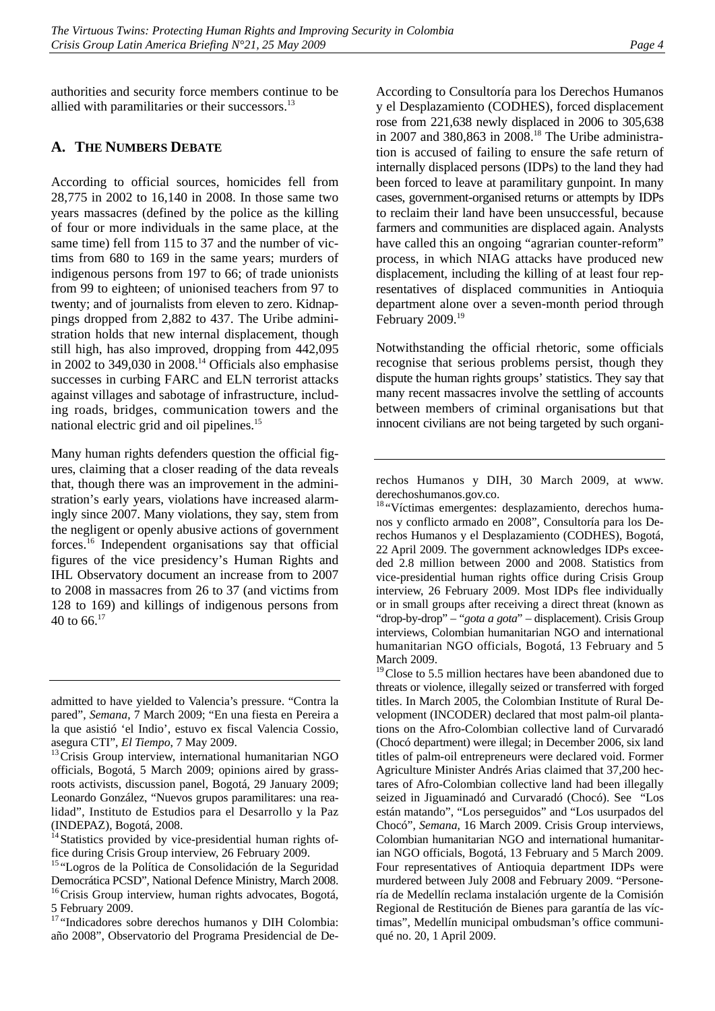authorities and security force members continue to be allied with paramilitaries or their successors.<sup>13</sup>

### **A. THE NUMBERS DEBATE**

According to official sources, homicides fell from 28,775 in 2002 to 16,140 in 2008. In those same two years massacres (defined by the police as the killing of four or more individuals in the same place, at the same time) fell from 115 to 37 and the number of victims from 680 to 169 in the same years; murders of indigenous persons from 197 to 66; of trade unionists from 99 to eighteen; of unionised teachers from 97 to twenty; and of journalists from eleven to zero. Kidnappings dropped from 2,882 to 437. The Uribe administration holds that new internal displacement, though still high, has also improved, dropping from 442,095 in 2002 to 349,030 in 2008.<sup>14</sup> Officials also emphasise successes in curbing FARC and ELN terrorist attacks against villages and sabotage of infrastructure, including roads, bridges, communication towers and the national electric grid and oil pipelines.<sup>15</sup>

Many human rights defenders question the official figures, claiming that a closer reading of the data reveals that, though there was an improvement in the administration's early years, violations have increased alarmingly since 2007. Many violations, they say, stem from the negligent or openly abusive actions of government forces.16 Independent organisations say that official figures of the vice presidency's Human Rights and IHL Observatory document an increase from to 2007 to 2008 in massacres from 26 to 37 (and victims from 128 to 169) and killings of indigenous persons from 40 to  $66^{17}$ 

<sup>14</sup> Statistics provided by vice-presidential human rights office during Crisis Group interview, 26 February 2009.

<sup>17</sup> "Indicadores sobre derechos humanos y DIH Colombia: año 2008", Observatorio del Programa Presidencial de De-

According to Consultoría para los Derechos Humanos y el Desplazamiento (CODHES), forced displacement rose from 221,638 newly displaced in 2006 to 305,638 in 2007 and 380,863 in 2008.<sup>18</sup> The Uribe administration is accused of failing to ensure the safe return of internally displaced persons (IDPs) to the land they had been forced to leave at paramilitary gunpoint. In many cases, government-organised returns or attempts by IDPs to reclaim their land have been unsuccessful, because farmers and communities are displaced again. Analysts have called this an ongoing "agrarian counter-reform" process, in which NIAG attacks have produced new displacement, including the killing of at least four representatives of displaced communities in Antioquia department alone over a seven-month period through February 2009.<sup>19</sup>

Notwithstanding the official rhetoric, some officials recognise that serious problems persist, though they dispute the human rights groups' statistics. They say that many recent massacres involve the settling of accounts between members of criminal organisations but that innocent civilians are not being targeted by such organi-

<sup>18</sup> "Víctimas emergentes: desplazamiento, derechos humanos y conflicto armado en 2008", Consultoría para los Derechos Humanos y el Desplazamiento (CODHES), Bogotá, 22 April 2009. The government acknowledges IDPs exceeded 2.8 million between 2000 and 2008. Statistics from vice-presidential human rights office during Crisis Group interview, 26 February 2009. Most IDPs flee individually or in small groups after receiving a direct threat (known as "drop-by-drop" – "*gota a gota*" – displacement). Crisis Group interviews, Colombian humanitarian NGO and international humanitarian NGO officials, Bogotá, 13 February and 5 March 2009.

<sup>19</sup> Close to 5.5 million hectares have been abandoned due to threats or violence, illegally seized or transferred with forged titles. In March 2005, the Colombian Institute of Rural Development (INCODER) declared that most palm-oil plantations on the Afro-Colombian collective land of Curvaradó (Chocó department) were illegal; in December 2006, six land titles of palm-oil entrepreneurs were declared void. Former Agriculture Minister Andrés Arias claimed that 37,200 hectares of Afro-Colombian collective land had been illegally seized in Jiguaminadó and Curvaradó (Chocó). See "Los están matando", "Los perseguidos" and "Los usurpados del Chocó", *Semana*, 16 March 2009. Crisis Group interviews, Colombian humanitarian NGO and international humanitarian NGO officials, Bogotá, 13 February and 5 March 2009. Four representatives of Antioquia department IDPs were murdered between July 2008 and February 2009. "Personería de Medellín reclama instalación urgente de la Comisión Regional de Restitución de Bienes para garantía de las víctimas", Medellín municipal ombudsman's office communiqué no. 20, 1 April 2009.

admitted to have yielded to Valencia's pressure. "Contra la pared", *Semana*, 7 March 2009; "En una fiesta en Pereira a la que asistió 'el Indio', estuvo ex fiscal Valencia Cossio, asegura CTI", *El Tiempo*, 7 May 2009.<br><sup>13</sup>Crisis Group interview, international humanitarian NGO

officials, Bogotá, 5 March 2009; opinions aired by grassroots activists, discussion panel, Bogotá, 29 January 2009; Leonardo González, "Nuevos grupos paramilitares: una realidad", Instituto de Estudios para el Desarrollo y la Paz (INDEPAZ), Bogotá, 2008.

<sup>&</sup>lt;sup>15 "</sup>Logros de la Política de Consolidación de la Seguridad Democrática PCSD", National Defence Ministry, March 2008.<br><sup>16</sup>Crisis Group interview, human rights advocates, Bogotá, 5 February 2009.

rechos Humanos y DIH, 30 March 2009, at www. derechoshumanos.gov.co.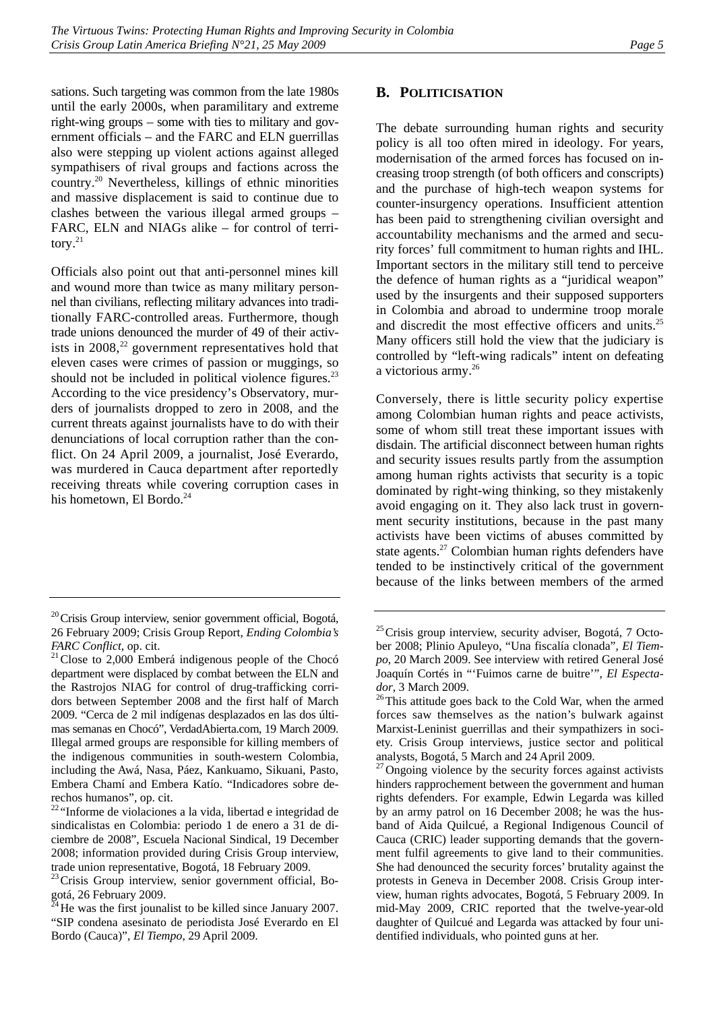sations. Such targeting was common from the late 1980s until the early 2000s, when paramilitary and extreme right-wing groups – some with ties to military and government officials – and the FARC and ELN guerrillas also were stepping up violent actions against alleged sympathisers of rival groups and factions across the country.20 Nevertheless, killings of ethnic minorities and massive displacement is said to continue due to clashes between the various illegal armed groups – FARC, ELN and NIAGs alike – for control of territory. $^{21}$ 

Officials also point out that anti-personnel mines kill and wound more than twice as many military personnel than civilians, reflecting military advances into traditionally FARC-controlled areas. Furthermore, though trade unions denounced the murder of 49 of their activists in  $2008<sup>22</sup>$  government representatives hold that eleven cases were crimes of passion or muggings, so should not be included in political violence figures. $^{23}$ According to the vice presidency's Observatory, murders of journalists dropped to zero in 2008, and the current threats against journalists have to do with their denunciations of local corruption rather than the conflict. On 24 April 2009, a journalist, José Everardo, was murdered in Cauca department after reportedly receiving threats while covering corruption cases in his hometown, El Bordo. $^{24}$ 

# **B. POLITICISATION**

The debate surrounding human rights and security policy is all too often mired in ideology. For years, modernisation of the armed forces has focused on increasing troop strength (of both officers and conscripts) and the purchase of high-tech weapon systems for counter-insurgency operations. Insufficient attention has been paid to strengthening civilian oversight and accountability mechanisms and the armed and security forces' full commitment to human rights and IHL. Important sectors in the military still tend to perceive the defence of human rights as a "juridical weapon" used by the insurgents and their supposed supporters in Colombia and abroad to undermine troop morale and discredit the most effective officers and units.<sup>25</sup> Many officers still hold the view that the judiciary is controlled by "left-wing radicals" intent on defeating a victorious army.<sup>26</sup>

Conversely, there is little security policy expertise among Colombian human rights and peace activists, some of whom still treat these important issues with disdain. The artificial disconnect between human rights and security issues results partly from the assumption among human rights activists that security is a topic dominated by right-wing thinking, so they mistakenly avoid engaging on it. They also lack trust in government security institutions, because in the past many activists have been victims of abuses committed by state agents.<sup>27</sup> Colombian human rights defenders have tended to be instinctively critical of the government because of the links between members of the armed

<sup>&</sup>lt;sup>20</sup>Crisis Group interview, senior government official, Bogotá, 26 February 2009; Crisis Group Report, *Ending Colombia's* 

*FARC Conflict*, op. cit.<br><sup>21</sup> Close to 2,000 Emberá indigenous people of the Chocó department were displaced by combat between the ELN and the Rastrojos NIAG for control of drug-trafficking corridors between September 2008 and the first half of March 2009. "Cerca de 2 mil indígenas desplazados en las dos últimas semanas en Chocó", VerdadAbierta.com, 19 March 2009. Illegal armed groups are responsible for killing members of the indigenous communities in south-western Colombia, including the Awá, Nasa, Páez, Kankuamo, Sikuani, Pasto, Embera Chamí and Embera Katío. "Indicadores sobre derechos humanos", op. cit.

<sup>22</sup> "Informe de violaciones a la vida, libertad e integridad de sindicalistas en Colombia: periodo 1 de enero a 31 de diciembre de 2008", Escuela Nacional Sindical, 19 December 2008; information provided during Crisis Group interview, trade union representative, Bogotá, 18 February 2009.

<sup>&</sup>lt;sup>23</sup> Crisis Group interview, senior government official, Bogotá, 26 February 2009.

 $^{24}$  He was the first jounalist to be killed since January 2007. "SIP condena asesinato de periodista José Everardo en El Bordo (Cauca)", *El Tiempo*, 29 April 2009.

<sup>&</sup>lt;sup>25</sup> Crisis group interview, security adviser, Bogotá, 7 October 2008; Plinio Apuleyo, "Una fiscalía clonada", *El Tiempo*, 20 March 2009. See interview with retired General José Joaquín Cortés in "'Fuimos carne de buitre'", *El Especta-*

*dor*, 3 March 2009.<br><sup>26</sup>This attitude goes back to the Cold War, when the armed forces saw themselves as the nation's bulwark against Marxist-Leninist guerrillas and their sympathizers in society. Crisis Group interviews, justice sector and political analysts, Bogotá, 5 March and 24 April 2009.

 $^{27}$ Ongoing violence by the security forces against activists hinders rapprochement between the government and human rights defenders. For example, Edwin Legarda was killed by an army patrol on 16 December 2008; he was the husband of Aida Quilcué, a Regional Indigenous Council of Cauca (CRIC) leader supporting demands that the government fulfil agreements to give land to their communities. She had denounced the security forces' brutality against the protests in Geneva in December 2008. Crisis Group interview, human rights advocates, Bogotá, 5 February 2009. In mid-May 2009, CRIC reported that the twelve-year-old daughter of Quilcué and Legarda was attacked by four unidentified individuals, who pointed guns at her.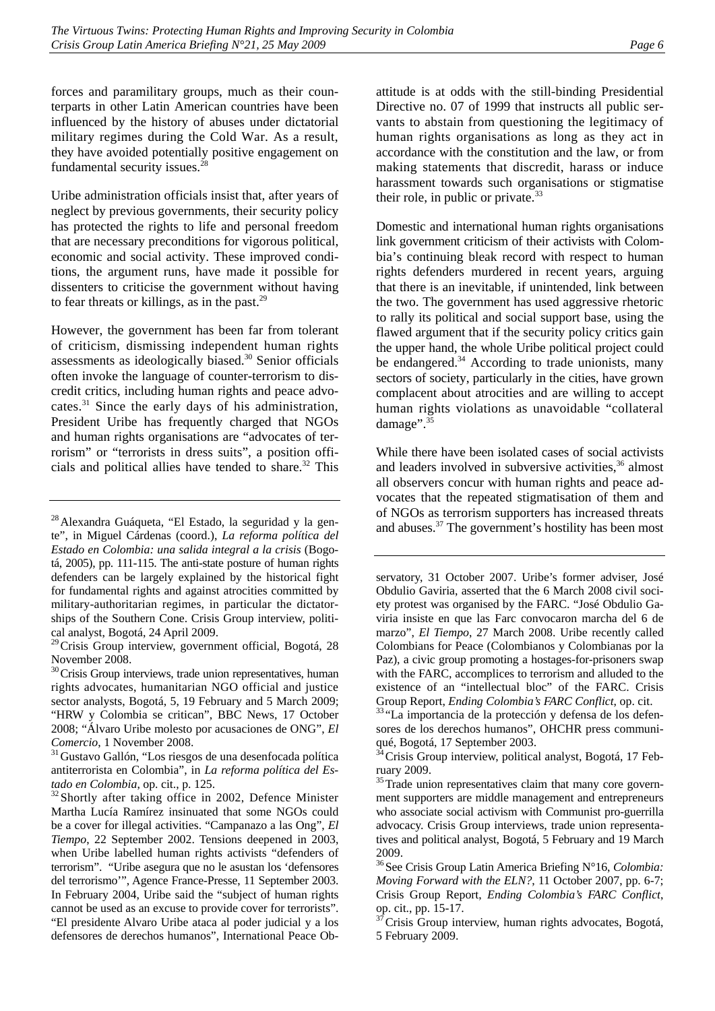forces and paramilitary groups, much as their counterparts in other Latin American countries have been influenced by the history of abuses under dictatorial military regimes during the Cold War. As a result, they have avoided potentially positive engagement on fundamental security issues.<sup>28</sup>

Uribe administration officials insist that, after years of neglect by previous governments, their security policy has protected the rights to life and personal freedom that are necessary preconditions for vigorous political, economic and social activity. These improved conditions, the argument runs, have made it possible for dissenters to criticise the government without having to fear threats or killings, as in the past.<sup>29</sup>

However, the government has been far from tolerant of criticism, dismissing independent human rights assessments as ideologically biased.30 Senior officials often invoke the language of counter-terrorism to discredit critics, including human rights and peace advocates.31 Since the early days of his administration, President Uribe has frequently charged that NGOs and human rights organisations are "advocates of terrorism" or "terrorists in dress suits", a position officials and political allies have tended to share. $32$  This

<sup>30</sup>Crisis Group interviews, trade union representatives, human rights advocates, humanitarian NGO official and justice sector analysts, Bogotá, 5, 19 February and 5 March 2009; "HRW y Colombia se critican", BBC News, 17 October 2008; "Álvaro Uribe molesto por acusaciones de ONG", *El* 

*Comercio*, 1 November 2008.<br><sup>31</sup> Gustavo Gallón, "Los riesgos de una desenfocada política antiterrorista en Colombia", in *La reforma política del Es-*

*tado en Colombia*, op. cit., p. 125.<br><sup>32</sup>Shortly after taking office in 2002, Defence Minister Martha Lucía Ramírez insinuated that some NGOs could be a cover for illegal activities. "Campanazo a las Ong", *El Tiempo*, 22 September 2002. Tensions deepened in 2003, when Uribe labelled human rights activists "defenders of terrorism". "Uribe asegura que no le asustan los 'defensores del terrorismo'", Agence France-Presse, 11 September 2003. In February 2004, Uribe said the "subject of human rights cannot be used as an excuse to provide cover for terrorists". "El presidente Alvaro Uribe ataca al poder judicial y a los defensores de derechos humanos", International Peace Obattitude is at odds with the still-binding Presidential Directive no. 07 of 1999 that instructs all public servants to abstain from questioning the legitimacy of human rights organisations as long as they act in accordance with the constitution and the law, or from making statements that discredit, harass or induce harassment towards such organisations or stigmatise their role, in public or private. $33$ 

Domestic and international human rights organisations link government criticism of their activists with Colombia's continuing bleak record with respect to human rights defenders murdered in recent years, arguing that there is an inevitable, if unintended, link between the two. The government has used aggressive rhetoric to rally its political and social support base, using the flawed argument that if the security policy critics gain the upper hand, the whole Uribe political project could be endangered. $34$  According to trade unionists, many sectors of society, particularly in the cities, have grown complacent about atrocities and are willing to accept human rights violations as unavoidable "collateral damage".<sup>35</sup>

While there have been isolated cases of social activists and leaders involved in subversive activities,  $36$  almost all observers concur with human rights and peace advocates that the repeated stigmatisation of them and of NGOs as terrorism supporters has increased threats and abuses.37 The government's hostility has been most

<sup>28</sup>Alexandra Guáqueta, "El Estado, la seguridad y la gente", in Miguel Cárdenas (coord.), *La reforma política del Estado en Colombia: una salida integral a la crisis* (Bogotá, 2005), pp. 111-115. The anti-state posture of human rights defenders can be largely explained by the historical fight for fundamental rights and against atrocities committed by military-authoritarian regimes, in particular the dictatorships of the Southern Cone. Crisis Group interview, political analyst, Bogotá, 24 April 2009.

<sup>&</sup>lt;sup>29</sup> Crisis Group interview, government official, Bogotá, 28 November 2008.

servatory, 31 October 2007. Uribe's former adviser, José Obdulio Gaviria, asserted that the 6 March 2008 civil society protest was organised by the FARC. "José Obdulio Gaviria insiste en que las Farc convocaron marcha del 6 de marzo", *El Tiempo*, 27 March 2008. Uribe recently called Colombians for Peace (Colombianos y Colombianas por la Paz), a civic group promoting a hostages-for-prisoners swap with the FARC, accomplices to terrorism and alluded to the existence of an "intellectual bloc" of the FARC. Crisis Group Report, *Ending Colombia's FARC Conflict*, op. cit. 33 "La importancia de la protección y defensa de los defen-

sores de los derechos humanos", OHCHR press communiqué, Bogotá, 17 September 2003.

<sup>&</sup>lt;sup>34</sup> Crisis Group interview, political analyst, Bogotá, 17 February 2009.

 $35$ Trade union representatives claim that many core government supporters are middle management and entrepreneurs who associate social activism with Communist pro-guerrilla advocacy. Crisis Group interviews, trade union representatives and political analyst, Bogotá, 5 February and 19 March 2009.

<sup>36</sup>See Crisis Group Latin America Briefing N°16, *Colombia: Moving Forward with the ELN?*, 11 October 2007, pp. 6-7; Crisis Group Report, *Ending Colombia's FARC Conflict*, op. cit., pp. 15-17.

 $3^7$ Crisis Group interview, human rights advocates, Bogotá, 5 February 2009.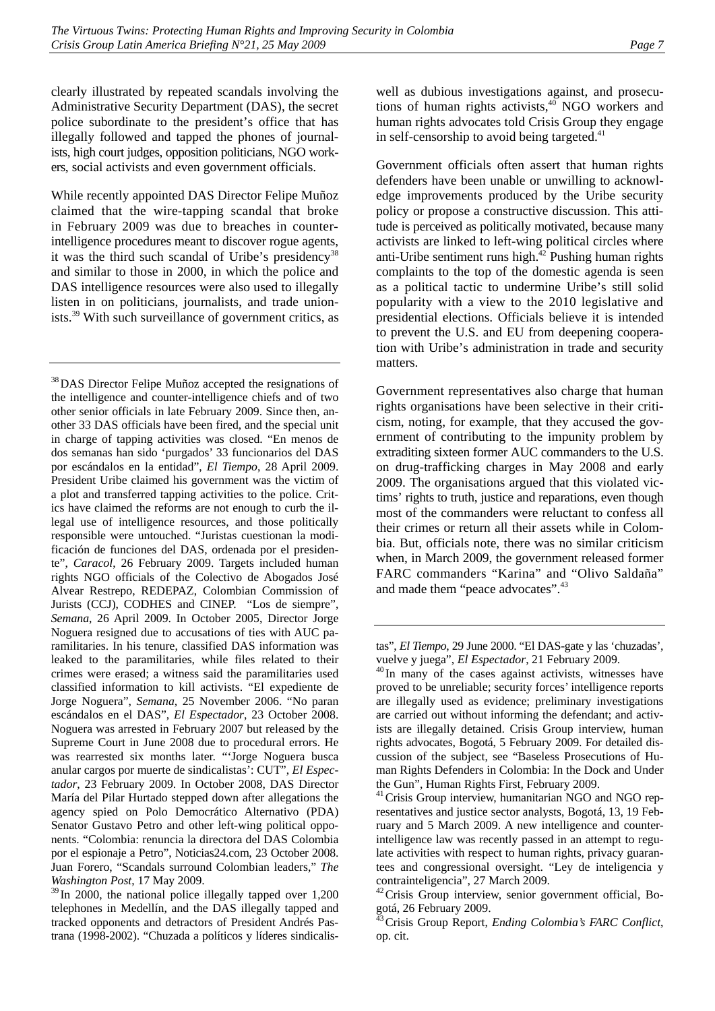clearly illustrated by repeated scandals involving the Administrative Security Department (DAS), the secret police subordinate to the president's office that has illegally followed and tapped the phones of journalists, high court judges, opposition politicians, NGO workers, social activists and even government officials.

While recently appointed DAS Director Felipe Muñoz claimed that the wire-tapping scandal that broke in February 2009 was due to breaches in counterintelligence procedures meant to discover rogue agents, it was the third such scandal of Uribe's presidency<sup>38</sup> and similar to those in 2000, in which the police and DAS intelligence resources were also used to illegally listen in on politicians, journalists, and trade unionists.39 With such surveillance of government critics, as

<sup>38</sup>DAS Director Felipe Muñoz accepted the resignations of the intelligence and counter-intelligence chiefs and of two other senior officials in late February 2009. Since then, another 33 DAS officials have been fired, and the special unit in charge of tapping activities was closed. "En menos de dos semanas han sido 'purgados' 33 funcionarios del DAS por escándalos en la entidad", *El Tiempo*, 28 April 2009. President Uribe claimed his government was the victim of a plot and transferred tapping activities to the police. Critics have claimed the reforms are not enough to curb the illegal use of intelligence resources, and those politically responsible were untouched. "Juristas cuestionan la modificación de funciones del DAS, ordenada por el presidente", *Caracol*, 26 February 2009. Targets included human rights NGO officials of the Colectivo de Abogados José Alvear Restrepo, REDEPAZ, Colombian Commission of Jurists (CCJ), CODHES and CINEP. "Los de siempre", *Semana*, 26 April 2009. In October 2005, Director Jorge Noguera resigned due to accusations of ties with AUC paramilitaries. In his tenure, classified DAS information was leaked to the paramilitaries, while files related to their crimes were erased; a witness said the paramilitaries used classified information to kill activists. "El expediente de Jorge Noguera", *Semana*, 25 November 2006. "No paran escándalos en el DAS", *El Espectador*, 23 October 2008. Noguera was arrested in February 2007 but released by the Supreme Court in June 2008 due to procedural errors. He was rearrested six months later. "'Jorge Noguera busca anular cargos por muerte de sindicalistas': CUT", *El Espectador*, 23 February 2009. In October 2008, DAS Director María del Pilar Hurtado stepped down after allegations the agency spied on Polo Democrático Alternativo (PDA) Senator Gustavo Petro and other left-wing political opponents. "Colombia: renuncia la directora del DAS Colombia por el espionaje a Petro", Noticias24.com, 23 October 2008. Juan Forero, "Scandals surround Colombian leaders," *The Washington Post*, 17 May 2009.

<sup>39</sup> In 2000, the national police illegally tapped over 1,200 telephones in Medellín, and the DAS illegally tapped and tracked opponents and detractors of President Andrés Pastrana (1998-2002). "Chuzada a políticos y líderes sindicalis-

well as dubious investigations against, and prosecutions of human rights activists, $40$  NGO workers and human rights advocates told Crisis Group they engage in self-censorship to avoid being targeted. $41$ 

Government officials often assert that human rights defenders have been unable or unwilling to acknowledge improvements produced by the Uribe security policy or propose a constructive discussion. This attitude is perceived as politically motivated, because many activists are linked to left-wing political circles where anti-Uribe sentiment runs high. $42$  Pushing human rights complaints to the top of the domestic agenda is seen as a political tactic to undermine Uribe's still solid popularity with a view to the 2010 legislative and presidential elections. Officials believe it is intended to prevent the U.S. and EU from deepening cooperation with Uribe's administration in trade and security matters.

Government representatives also charge that human rights organisations have been selective in their criticism, noting, for example, that they accused the government of contributing to the impunity problem by extraditing sixteen former AUC commanders to the U.S. on drug-trafficking charges in May 2008 and early 2009. The organisations argued that this violated victims' rights to truth, justice and reparations, even though most of the commanders were reluctant to confess all their crimes or return all their assets while in Colombia. But, officials note, there was no similar criticism when, in March 2009, the government released former FARC commanders "Karina" and "Olivo Saldaña" and made them "peace advocates".<sup>43</sup>

tas", *El Tiempo*, 29 June 2000. "El DAS-gate y las 'chuzadas', vuelve y juega", *El Espectador*, 21 February 2009. 40 In many of the cases against activists, witnesses have

proved to be unreliable; security forces' intelligence reports are illegally used as evidence; preliminary investigations are carried out without informing the defendant; and activists are illegally detained. Crisis Group interview, human rights advocates, Bogotá, 5 February 2009. For detailed discussion of the subject, see "Baseless Prosecutions of Human Rights Defenders in Colombia: In the Dock and Under the Gun", Human Rights First, February 2009.

<sup>&</sup>lt;sup>41</sup> Crisis Group interview, humanitarian NGO and NGO representatives and justice sector analysts, Bogotá, 13, 19 February and 5 March 2009. A new intelligence and counterintelligence law was recently passed in an attempt to regulate activities with respect to human rights, privacy guarantees and congressional oversight. "Ley de inteligencia y contrainteligencia", 27 March 2009.

<sup>42</sup>Crisis Group interview, senior government official, Bogotá, 26 February 2009.

<sup>43</sup>Crisis Group Report, *Ending Colombia's FARC Conflict*, op. cit.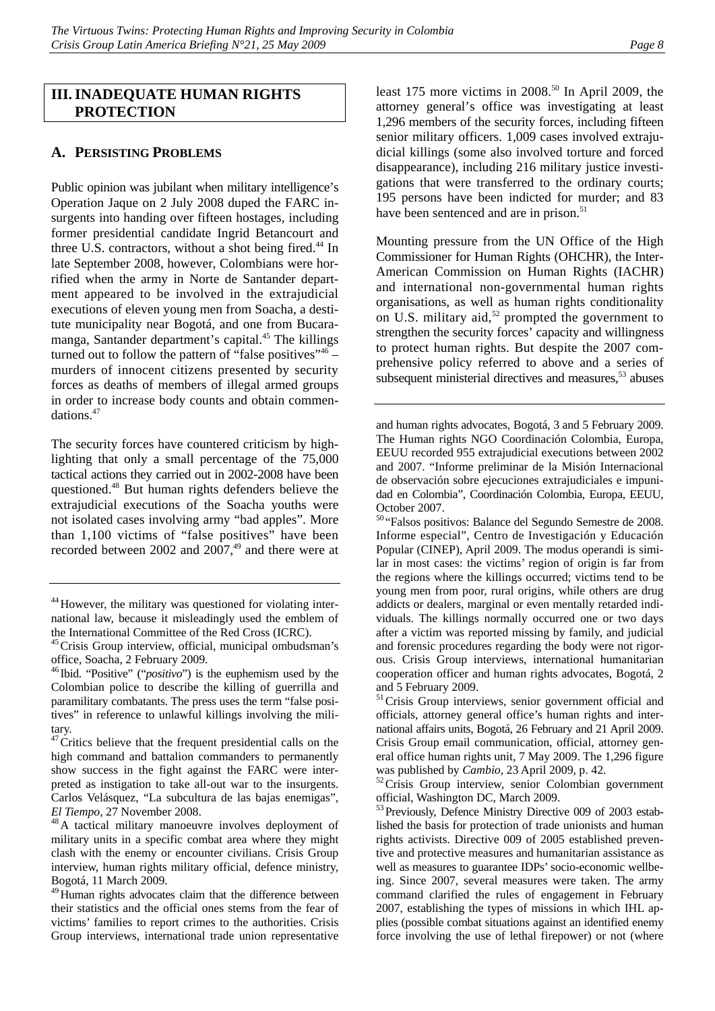# **III.INADEQUATE HUMAN RIGHTS PROTECTION**

# **A. PERSISTING PROBLEMS**

Public opinion was jubilant when military intelligence's Operation Jaque on 2 July 2008 duped the FARC insurgents into handing over fifteen hostages, including former presidential candidate Ingrid Betancourt and three U.S. contractors, without a shot being fired.<sup>44</sup> In late September 2008, however, Colombians were horrified when the army in Norte de Santander department appeared to be involved in the extrajudicial executions of eleven young men from Soacha, a destitute municipality near Bogotá, and one from Bucaramanga, Santander department's capital.45 The killings turned out to follow the pattern of "false positives"<sup>46</sup> – murders of innocent citizens presented by security forces as deaths of members of illegal armed groups in order to increase body counts and obtain commendations.47

The security forces have countered criticism by highlighting that only a small percentage of the 75,000 tactical actions they carried out in 2002-2008 have been questioned.48 But human rights defenders believe the extrajudicial executions of the Soacha youths were not isolated cases involving army "bad apples". More than 1,100 victims of "false positives" have been recorded between 2002 and  $2007$ ,<sup>49</sup> and there were at least 175 more victims in  $2008$ <sup>50</sup> In April 2009, the attorney general's office was investigating at least 1,296 members of the security forces, including fifteen senior military officers. 1,009 cases involved extrajudicial killings (some also involved torture and forced disappearance), including 216 military justice investigations that were transferred to the ordinary courts; 195 persons have been indicted for murder; and 83 have been sentenced and are in prison.<sup>51</sup>

Mounting pressure from the UN Office of the High Commissioner for Human Rights (OHCHR), the Inter-American Commission on Human Rights (IACHR) and international non-governmental human rights organisations, as well as human rights conditionality on U.S. military aid,<sup>52</sup> prompted the government to strengthen the security forces' capacity and willingness to protect human rights. But despite the 2007 comprehensive policy referred to above and a series of subsequent ministerial directives and measures, $53$  abuses

and human rights advocates, Bogotá, 3 and 5 February 2009. The Human rights NGO Coordinación Colombia, Europa, EEUU recorded 955 extrajudicial executions between 2002 and 2007. "Informe preliminar de la Misión Internacional de observación sobre ejecuciones extrajudiciales e impunidad en Colombia", Coordinación Colombia, Europa, EEUU, October 2007.

<sup>&</sup>lt;sup>44</sup>However, the military was questioned for violating international law, because it misleadingly used the emblem of the International Committee of the Red Cross (ICRC).

<sup>45</sup>Crisis Group interview, official, municipal ombudsman's office, Soacha, 2 February 2009.

<sup>46</sup> Ibid. "Positive" ("*positivo*") is the euphemism used by the Colombian police to describe the killing of guerrilla and paramilitary combatants. The press uses the term "false positives" in reference to unlawful killings involving the military.

 $47$  Critics believe that the frequent presidential calls on the high command and battalion commanders to permanently show success in the fight against the FARC were interpreted as instigation to take all-out war to the insurgents. Carlos Velásquez, "La subcultura de las bajas enemigas",

*El Tiempo*, 27 November 2008.<br><sup>48</sup>A tactical military manoeuvre involves deployment of military units in a specific combat area where they might clash with the enemy or encounter civilians. Crisis Group interview, human rights military official, defence ministry, Bogotá, 11 March 2009.

<sup>&</sup>lt;sup>49</sup>Human rights advocates claim that the difference between their statistics and the official ones stems from the fear of victims' families to report crimes to the authorities. Crisis Group interviews, international trade union representative

<sup>50</sup> "Falsos positivos: Balance del Segundo Semestre de 2008. Informe especial", Centro de Investigación y Educación Popular (CINEP), April 2009. The modus operandi is similar in most cases: the victims' region of origin is far from the regions where the killings occurred; victims tend to be young men from poor, rural origins, while others are drug addicts or dealers, marginal or even mentally retarded individuals. The killings normally occurred one or two days after a victim was reported missing by family, and judicial and forensic procedures regarding the body were not rigorous. Crisis Group interviews, international humanitarian cooperation officer and human rights advocates, Bogotá, 2 and 5 February 2009.

<sup>&</sup>lt;sup>51</sup>Crisis Group interviews, senior government official and officials, attorney general office's human rights and international affairs units, Bogotá, 26 February and 21 April 2009. Crisis Group email communication, official, attorney general office human rights unit, 7 May 2009. The 1,296 figure

was published by *Cambio*, 23 April 2009, p. 42.<br><sup>52</sup>Crisis Group interview, senior Colombian government official, Washington DC, March 2009.

<sup>&</sup>lt;sup>53</sup> Previously, Defence Ministry Directive 009 of 2003 established the basis for protection of trade unionists and human rights activists. Directive 009 of 2005 established preventive and protective measures and humanitarian assistance as well as measures to guarantee IDPs' socio-economic wellbeing. Since 2007, several measures were taken. The army command clarified the rules of engagement in February 2007, establishing the types of missions in which IHL applies (possible combat situations against an identified enemy force involving the use of lethal firepower) or not (where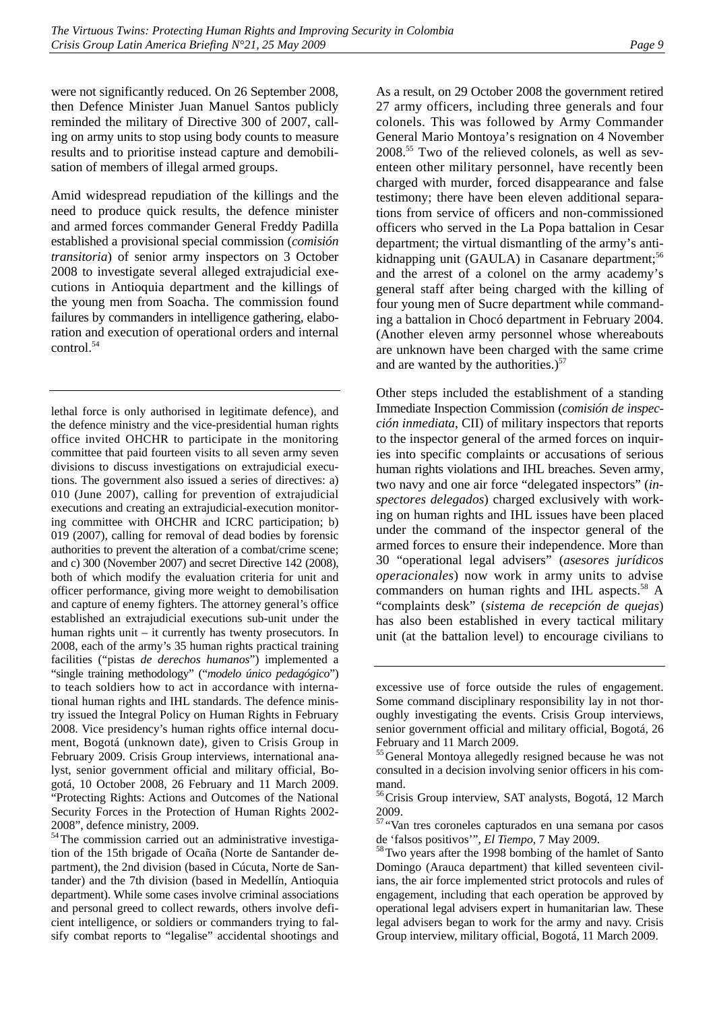were not significantly reduced. On 26 September 2008, then Defence Minister Juan Manuel Santos publicly reminded the military of Directive 300 of 2007, calling on army units to stop using body counts to measure results and to prioritise instead capture and demobilisation of members of illegal armed groups.

Amid widespread repudiation of the killings and the need to produce quick results, the defence minister and armed forces commander General Freddy Padilla established a provisional special commission (*comisión transitoria*) of senior army inspectors on 3 October 2008 to investigate several alleged extrajudicial executions in Antioquia department and the killings of the young men from Soacha. The commission found failures by commanders in intelligence gathering, elaboration and execution of operational orders and internal control.54

lethal force is only authorised in legitimate defence), and the defence ministry and the vice-presidential human rights office invited OHCHR to participate in the monitoring committee that paid fourteen visits to all seven army seven divisions to discuss investigations on extrajudicial executions. The government also issued a series of directives: a) 010 (June 2007), calling for prevention of extrajudicial executions and creating an extrajudicial-execution monitoring committee with OHCHR and ICRC participation; b) 019 (2007), calling for removal of dead bodies by forensic authorities to prevent the alteration of a combat/crime scene; and c) 300 (November 2007) and secret Directive 142 (2008), both of which modify the evaluation criteria for unit and officer performance, giving more weight to demobilisation and capture of enemy fighters. The attorney general's office established an extrajudicial executions sub-unit under the human rights unit – it currently has twenty prosecutors. In 2008, each of the army's 35 human rights practical training facilities ("pistas *de derechos humanos*") implemented a "single training methodology" ("*modelo único pedagógico*") to teach soldiers how to act in accordance with international human rights and IHL standards. The defence ministry issued the Integral Policy on Human Rights in February 2008. Vice presidency's human rights office internal document, Bogotá (unknown date), given to Crisis Group in February 2009. Crisis Group interviews, international analyst, senior government official and military official, Bogotá, 10 October 2008, 26 February and 11 March 2009. "Protecting Rights: Actions and Outcomes of the National Security Forces in the Protection of Human Rights 2002- 2008", defence ministry, 2009.

54The commission carried out an administrative investigation of the 15th brigade of Ocaña (Norte de Santander department), the 2nd division (based in Cúcuta, Norte de Santander) and the 7th division (based in Medellín, Antioquia department). While some cases involve criminal associations and personal greed to collect rewards, others involve deficient intelligence, or soldiers or commanders trying to falsify combat reports to "legalise" accidental shootings and

As a result, on 29 October 2008 the government retired 27 army officers, including three generals and four colonels. This was followed by Army Commander General Mario Montoya's resignation on 4 November 2008.55 Two of the relieved colonels, as well as seventeen other military personnel, have recently been charged with murder, forced disappearance and false testimony; there have been eleven additional separations from service of officers and non-commissioned officers who served in the La Popa battalion in Cesar department; the virtual dismantling of the army's antikidnapping unit  $(GAULA)$  in Casanare department;<sup>56</sup> and the arrest of a colonel on the army academy's general staff after being charged with the killing of four young men of Sucre department while commanding a battalion in Chocó department in February 2004. (Another eleven army personnel whose whereabouts are unknown have been charged with the same crime and are wanted by the authorities.) $57$ 

Other steps included the establishment of a standing Immediate Inspection Commission (*comisión de inspección inmediata*, CII) of military inspectors that reports to the inspector general of the armed forces on inquiries into specific complaints or accusations of serious human rights violations and IHL breaches. Seven army, two navy and one air force "delegated inspectors" (*inspectores delegados*) charged exclusively with working on human rights and IHL issues have been placed under the command of the inspector general of the armed forces to ensure their independence. More than 30 "operational legal advisers" (*asesores jurídicos operacionales*) now work in army units to advise commanders on human rights and IHL aspects.<sup>58</sup> A "complaints desk" (*sistema de recepción de quejas*) has also been established in every tactical military unit (at the battalion level) to encourage civilians to

excessive use of force outside the rules of engagement. Some command disciplinary responsibility lay in not thoroughly investigating the events. Crisis Group interviews, senior government official and military official, Bogotá, 26 February and 11 March 2009.

<sup>&</sup>lt;sup>55</sup> General Montoya allegedly resigned because he was not consulted in a decision involving senior officers in his command.

<sup>&</sup>lt;sup>56</sup>Crisis Group interview, SAT analysts, Bogotá, 12 March 2009.

<sup>57</sup> "Van tres coroneles capturados en una semana por casos

de 'falsos positivos'", *El Tiempo*, 7 May 2009.<br><sup>58</sup>Two years after the 1998 bombing of the hamlet of Santo Domingo (Arauca department) that killed seventeen civilians, the air force implemented strict protocols and rules of engagement, including that each operation be approved by operational legal advisers expert in humanitarian law. These legal advisers began to work for the army and navy. Crisis Group interview, military official, Bogotá, 11 March 2009.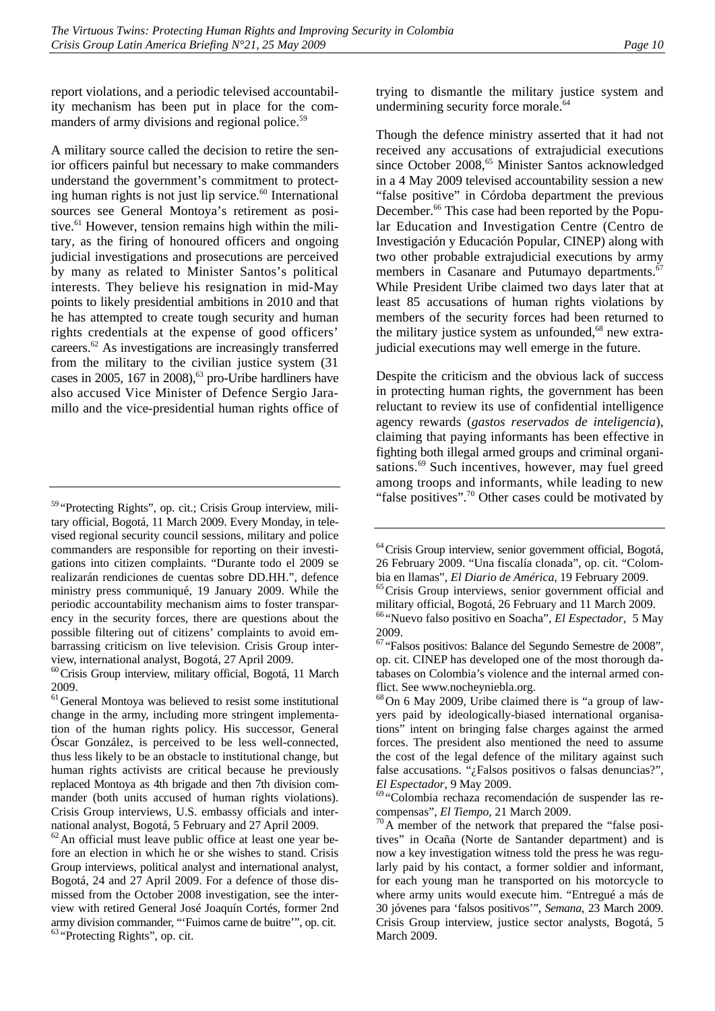report violations, and a periodic televised accountability mechanism has been put in place for the commanders of army divisions and regional police.<sup>59</sup>

A military source called the decision to retire the senior officers painful but necessary to make commanders understand the government's commitment to protecting human rights is not just lip service. $60$  International sources see General Montoya's retirement as positive. $^{61}$  However, tension remains high within the military, as the firing of honoured officers and ongoing judicial investigations and prosecutions are perceived by many as related to Minister Santos's political interests. They believe his resignation in mid-May points to likely presidential ambitions in 2010 and that he has attempted to create tough security and human rights credentials at the expense of good officers' careers.62 As investigations are increasingly transferred from the military to the civilian justice system (31 cases in 2005, 167 in 2008), $63$  pro-Uribe hardliners have also accused Vice Minister of Defence Sergio Jaramillo and the vice-presidential human rights office of trying to dismantle the military justice system and undermining security force morale.<sup>64</sup>

Though the defence ministry asserted that it had not received any accusations of extrajudicial executions since October 2008,<sup>65</sup> Minister Santos acknowledged in a 4 May 2009 televised accountability session a new "false positive" in Córdoba department the previous December.<sup>66</sup> This case had been reported by the Popular Education and Investigation Centre (Centro de Investigación y Educación Popular, CINEP) along with two other probable extrajudicial executions by army members in Casanare and Putumayo departments.<sup>67</sup> While President Uribe claimed two days later that at least 85 accusations of human rights violations by members of the security forces had been returned to the military justice system as unfounded, $68$  new extrajudicial executions may well emerge in the future.

Despite the criticism and the obvious lack of success in protecting human rights, the government has been reluctant to review its use of confidential intelligence agency rewards (*gastos reservados de inteligencia*), claiming that paying informants has been effective in fighting both illegal armed groups and criminal organisations.<sup>69</sup> Such incentives, however, may fuel greed among troops and informants, while leading to new "false positives".<sup>70</sup> Other cases could be motivated by

<sup>59</sup> "Protecting Rights", op. cit.; Crisis Group interview, military official, Bogotá, 11 March 2009. Every Monday, in televised regional security council sessions, military and police commanders are responsible for reporting on their investigations into citizen complaints. "Durante todo el 2009 se realizarán rendiciones de cuentas sobre DD.HH.", defence ministry press communiqué, 19 January 2009. While the periodic accountability mechanism aims to foster transparency in the security forces, there are questions about the possible filtering out of citizens' complaints to avoid embarrassing criticism on live television. Crisis Group interview, international analyst, Bogotá, 27 April 2009.

 $^{60}$  Crisis Group interview, military official, Bogotá, 11 March 2009.

 $<sup>61</sup>$ General Montoya was believed to resist some institutional</sup> change in the army, including more stringent implementation of the human rights policy. His successor, General Óscar González, is perceived to be less well-connected, thus less likely to be an obstacle to institutional change, but human rights activists are critical because he previously replaced Montoya as 4th brigade and then 7th division commander (both units accused of human rights violations). Crisis Group interviews, U.S. embassy officials and international analyst, Bogotá, 5 February and 27 April 2009.

 $62$ An official must leave public office at least one year before an election in which he or she wishes to stand. Crisis Group interviews, political analyst and international analyst, Bogotá, 24 and 27 April 2009. For a defence of those dismissed from the October 2008 investigation, see the interview with retired General José Joaquín Cortés, former 2nd army division commander, "'Fuimos carne de buitre'", op. cit. <sup>63</sup> "Protecting Rights", op. cit.

<sup>&</sup>lt;sup>64</sup> Crisis Group interview, senior government official, Bogotá, 26 February 2009. "Una fiscalía clonada", op. cit. "Colombia en llamas", *El Diario de América*, 19 February 2009.<br><sup>65</sup>Crisis Group interviews, senior government official and

military official, Bogotá, 26 February and 11 March 2009.

<sup>66</sup> "Nuevo falso positivo en Soacha", *El Espectador*, 5 May 2009.

<sup>67</sup> "Falsos positivos: Balance del Segundo Semestre de 2008", op. cit. CINEP has developed one of the most thorough databases on Colombia's violence and the internal armed conflict. See www.nocheyniebla.org.

 $68$  On 6 May 2009, Uribe claimed there is "a group of lawyers paid by ideologically-biased international organisations" intent on bringing false charges against the armed forces. The president also mentioned the need to assume the cost of the legal defence of the military against such false accusations. "¿Falsos positivos o falsas denuncias?", *El Espectador*, 9 May 2009.<br><sup>69</sup> "Colombia rechaza recomendación de suspender las re-

compensas", *El Tiempo*, 21 March 2009.<br><sup>70</sup>A member of the network that prepared the "false positives" in Ocaña (Norte de Santander department) and is now a key investigation witness told the press he was regularly paid by his contact, a former soldier and informant, for each young man he transported on his motorcycle to where army units would execute him. "Entregué a más de 30 jóvenes para 'falsos positivos'", *Semana*, 23 March 2009. Crisis Group interview, justice sector analysts, Bogotá, 5 March 2009.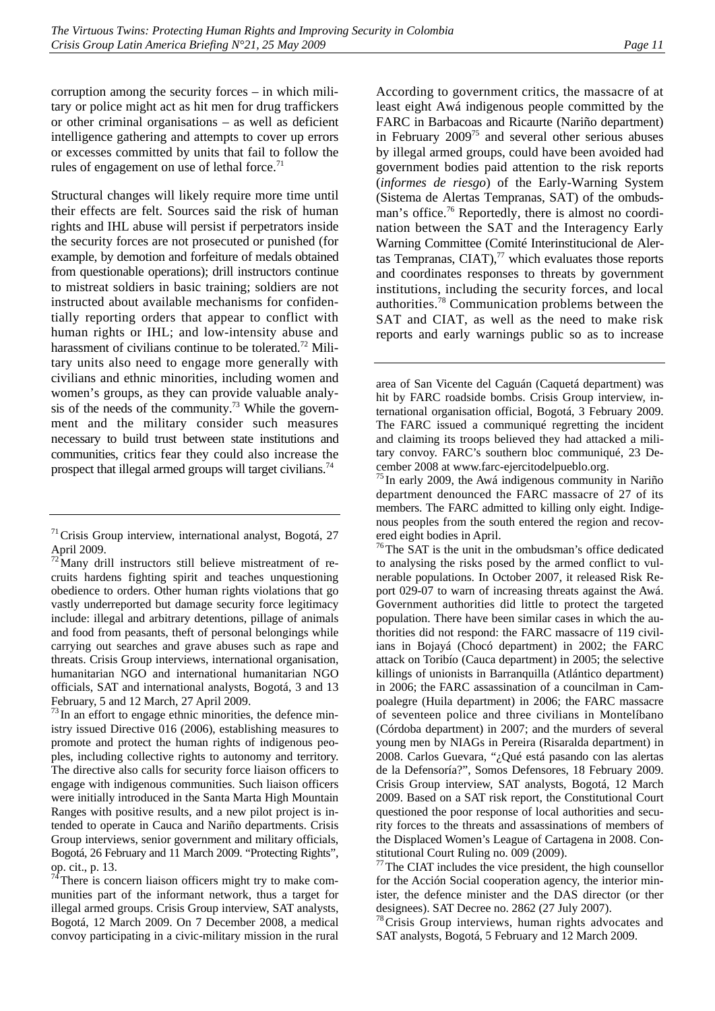corruption among the security forces – in which military or police might act as hit men for drug traffickers or other criminal organisations – as well as deficient intelligence gathering and attempts to cover up errors or excesses committed by units that fail to follow the rules of engagement on use of lethal force.<sup>71</sup>

Structural changes will likely require more time until their effects are felt. Sources said the risk of human rights and IHL abuse will persist if perpetrators inside the security forces are not prosecuted or punished (for example, by demotion and forfeiture of medals obtained from questionable operations); drill instructors continue to mistreat soldiers in basic training; soldiers are not instructed about available mechanisms for confidentially reporting orders that appear to conflict with human rights or IHL; and low-intensity abuse and harassment of civilians continue to be tolerated.<sup>72</sup> Military units also need to engage more generally with civilians and ethnic minorities, including women and women's groups, as they can provide valuable analysis of the needs of the community.<sup>73</sup> While the government and the military consider such measures necessary to build trust between state institutions and communities, critics fear they could also increase the prospect that illegal armed groups will target civilians.<sup>74</sup>

 $^{73}$  In an effort to engage ethnic minorities, the defence ministry issued Directive 016 (2006), establishing measures to promote and protect the human rights of indigenous peoples, including collective rights to autonomy and territory. The directive also calls for security force liaison officers to engage with indigenous communities. Such liaison officers were initially introduced in the Santa Marta High Mountain Ranges with positive results, and a new pilot project is intended to operate in Cauca and Nariño departments. Crisis Group interviews, senior government and military officials, Bogotá, 26 February and 11 March 2009. "Protecting Rights", op. cit., p. 13.

 $7<sup>4</sup>$ There is concern liaison officers might try to make communities part of the informant network, thus a target for illegal armed groups. Crisis Group interview, SAT analysts, Bogotá, 12 March 2009. On 7 December 2008, a medical convoy participating in a civic-military mission in the rural

According to government critics, the massacre of at least eight Awá indigenous people committed by the FARC in Barbacoas and Ricaurte (Nariño department) in February  $2009^{75}$  and several other serious abuses by illegal armed groups, could have been avoided had government bodies paid attention to the risk reports (*informes de riesgo*) of the Early-Warning System (Sistema de Alertas Tempranas, SAT) of the ombudsman's office.<sup>76</sup> Reportedly, there is almost no coordination between the SAT and the Interagency Early Warning Committee (Comité Interinstitucional de Alertas Tempranas, CIAT), $^{77}$  which evaluates those reports and coordinates responses to threats by government institutions, including the security forces, and local authorities.78 Communication problems between the SAT and CIAT, as well as the need to make risk reports and early warnings public so as to increase

<sup>76</sup>The SAT is the unit in the ombudsman's office dedicated to analysing the risks posed by the armed conflict to vulnerable populations. In October 2007, it released Risk Report 029-07 to warn of increasing threats against the Awá. Government authorities did little to protect the targeted population. There have been similar cases in which the authorities did not respond: the FARC massacre of 119 civilians in Bojayá (Chocó department) in 2002; the FARC attack on Toribío (Cauca department) in 2005; the selective killings of unionists in Barranquilla (Atlántico department) in 2006; the FARC assassination of a councilman in Campoalegre (Huila department) in 2006; the FARC massacre of seventeen police and three civilians in Montelíbano (Córdoba department) in 2007; and the murders of several young men by NIAGs in Pereira (Risaralda department) in 2008. Carlos Guevara, "¿Qué está pasando con las alertas de la Defensoría?", Somos Defensores, 18 February 2009. Crisis Group interview, SAT analysts, Bogotá, 12 March 2009. Based on a SAT risk report, the Constitutional Court questioned the poor response of local authorities and security forces to the threats and assassinations of members of the Displaced Women's League of Cartagena in 2008. Constitutional Court Ruling no. 009 (2009).

<sup>77</sup>The CIAT includes the vice president, the high counsellor for the Acción Social cooperation agency, the interior minister, the defence minister and the DAS director (or ther designees). SAT Decree no. 2862 (27 July 2007).

<sup>78</sup> Crisis Group interviews, human rights advocates and SAT analysts, Bogotá, 5 February and 12 March 2009.

 $71$ Crisis Group interview, international analyst, Bogotá, 27 April 2009.

 $\frac{72}{12}$ Many drill instructors still believe mistreatment of recruits hardens fighting spirit and teaches unquestioning obedience to orders. Other human rights violations that go vastly underreported but damage security force legitimacy include: illegal and arbitrary detentions, pillage of animals and food from peasants, theft of personal belongings while carrying out searches and grave abuses such as rape and threats. Crisis Group interviews, international organisation, humanitarian NGO and international humanitarian NGO officials, SAT and international analysts, Bogotá, 3 and 13 February, 5 and 12 March, 27 April 2009.

area of San Vicente del Caguán (Caquetá department) was hit by FARC roadside bombs. Crisis Group interview, international organisation official, Bogotá, 3 February 2009. The FARC issued a communiqué regretting the incident and claiming its troops believed they had attacked a military convoy. FARC's southern bloc communiqué, 23 December 2008 at www.farc-ejercitodelpueblo.org.

 $75$  In early 2009, the Awá indigenous community in Nariño department denounced the FARC massacre of 27 of its members. The FARC admitted to killing only eight. Indigenous peoples from the south entered the region and recovered eight bodies in April.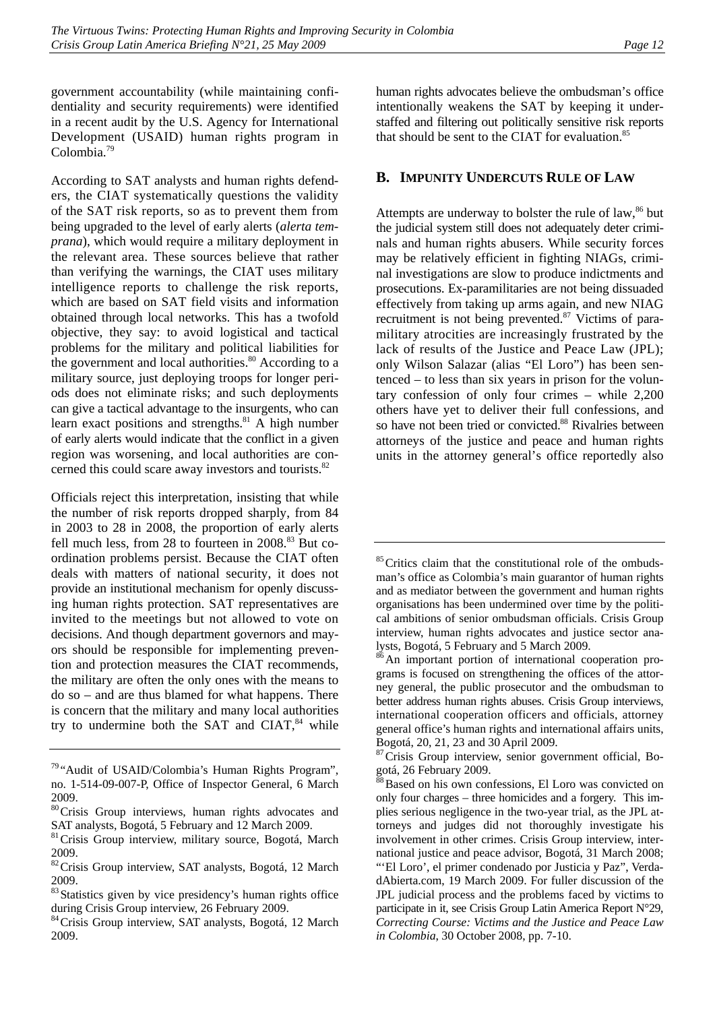government accountability (while maintaining confidentiality and security requirements) were identified in a recent audit by the U.S. Agency for International Development (USAID) human rights program in Colombia.79

According to SAT analysts and human rights defenders, the CIAT systematically questions the validity of the SAT risk reports, so as to prevent them from being upgraded to the level of early alerts (*alerta temprana*), which would require a military deployment in the relevant area. These sources believe that rather than verifying the warnings, the CIAT uses military intelligence reports to challenge the risk reports, which are based on SAT field visits and information obtained through local networks. This has a twofold objective, they say: to avoid logistical and tactical problems for the military and political liabilities for the government and local authorities. $80$  According to a military source, just deploying troops for longer periods does not eliminate risks; and such deployments can give a tactical advantage to the insurgents, who can learn exact positions and strengths. $81$  A high number of early alerts would indicate that the conflict in a given region was worsening, and local authorities are concerned this could scare away investors and tourists.<sup>82</sup>

Officials reject this interpretation, insisting that while the number of risk reports dropped sharply, from 84 in 2003 to 28 in 2008, the proportion of early alerts fell much less, from 28 to fourteen in  $2008$ .<sup>83</sup> But coordination problems persist. Because the CIAT often deals with matters of national security, it does not provide an institutional mechanism for openly discussing human rights protection. SAT representatives are invited to the meetings but not allowed to vote on decisions. And though department governors and mayors should be responsible for implementing prevention and protection measures the CIAT recommends, the military are often the only ones with the means to do so – and are thus blamed for what happens. There is concern that the military and many local authorities try to undermine both the SAT and CIAT, $84$  while human rights advocates believe the ombudsman's office intentionally weakens the SAT by keeping it understaffed and filtering out politically sensitive risk reports that should be sent to the CIAT for evaluation. $85$ 

# **B. IMPUNITY UNDERCUTS RULE OF LAW**

Attempts are underway to bolster the rule of law, $86$  but the judicial system still does not adequately deter criminals and human rights abusers. While security forces may be relatively efficient in fighting NIAGs, criminal investigations are slow to produce indictments and prosecutions. Ex-paramilitaries are not being dissuaded effectively from taking up arms again, and new NIAG recruitment is not being prevented.<sup>87</sup> Victims of paramilitary atrocities are increasingly frustrated by the lack of results of the Justice and Peace Law (JPL); only Wilson Salazar (alias "El Loro") has been sentenced – to less than six years in prison for the voluntary confession of only four crimes – while 2,200 others have yet to deliver their full confessions, and so have not been tried or convicted.<sup>88</sup> Rivalries between attorneys of the justice and peace and human rights units in the attorney general's office reportedly also

<sup>79</sup> "Audit of USAID/Colombia's Human Rights Program", no. 1-514-09-007-P, Office of Inspector General, 6 March 2009.

<sup>80</sup>Crisis Group interviews, human rights advocates and SAT analysts, Bogotá, 5 February and 12 March 2009.

<sup>&</sup>lt;sup>81</sup> Crisis Group interview, military source, Bogotá, March 2009.

<sup>82</sup>Crisis Group interview, SAT analysts, Bogotá, 12 March 2009.

<sup>83</sup> Statistics given by vice presidency's human rights office during Crisis Group interview, 26 February 2009.

<sup>84</sup> Crisis Group interview, SAT analysts, Bogotá, 12 March 2009.

<sup>&</sup>lt;sup>85</sup>Critics claim that the constitutional role of the ombudsman's office as Colombia's main guarantor of human rights and as mediator between the government and human rights organisations has been undermined over time by the political ambitions of senior ombudsman officials. Crisis Group interview, human rights advocates and justice sector analysts, Bogotá, 5 February and 5 March 2009.

<sup>&</sup>lt;sup>86</sup>An important portion of international cooperation programs is focused on strengthening the offices of the attorney general, the public prosecutor and the ombudsman to better address human rights abuses. Crisis Group interviews, international cooperation officers and officials, attorney general office's human rights and international affairs units, Bogotá, 20, 21, 23 and 30 April 2009.

<sup>&</sup>lt;sup>87</sup> Crisis Group interview, senior government official, Bogotá, 26 February 2009.

<sup>&</sup>lt;sup>8</sup>Based on his own confessions, El Loro was convicted on only four charges – three homicides and a forgery. This implies serious negligence in the two-year trial, as the JPL attorneys and judges did not thoroughly investigate his involvement in other crimes. Crisis Group interview, international justice and peace advisor, Bogotá, 31 March 2008; "'El Loro', el primer condenado por Justicia y Paz", VerdadAbierta.com, 19 March 2009. For fuller discussion of the JPL judicial process and the problems faced by victims to participate in it, see Crisis Group Latin America Report N°29, *Correcting Course: Victims and the Justice and Peace Law in Colombia*, 30 October 2008, pp. 7-10.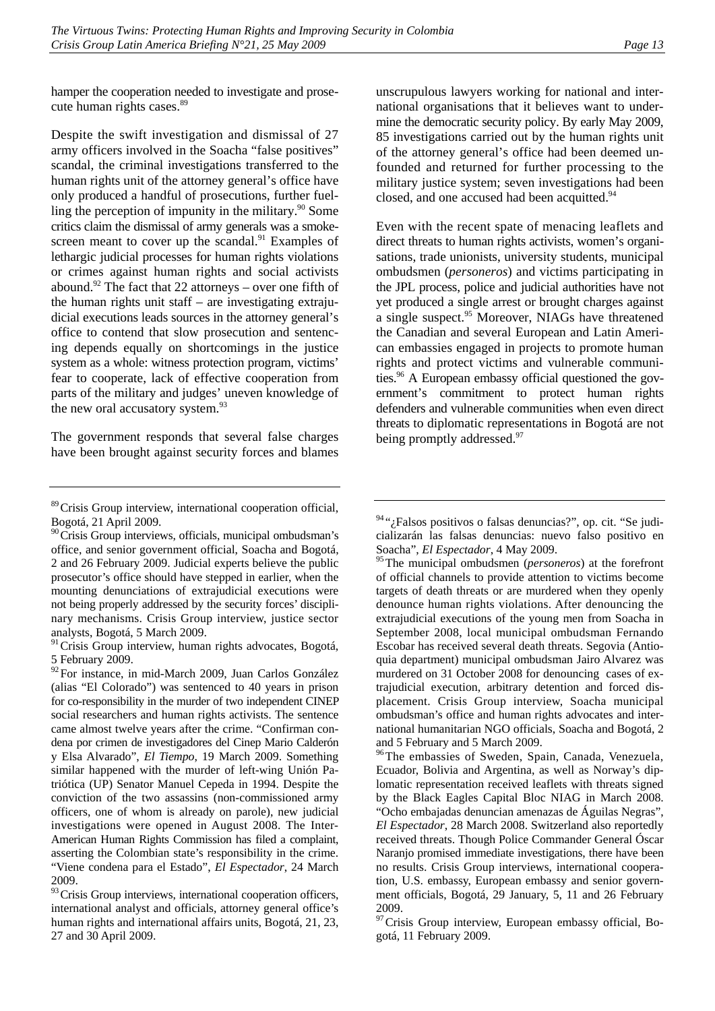hamper the cooperation needed to investigate and prosecute human rights cases.<sup>89</sup>

Despite the swift investigation and dismissal of 27 army officers involved in the Soacha "false positives" scandal, the criminal investigations transferred to the human rights unit of the attorney general's office have only produced a handful of prosecutions, further fuelling the perception of impunity in the military. $90$  Some critics claim the dismissal of army generals was a smokescreen meant to cover up the scandal. $91$  Examples of lethargic judicial processes for human rights violations or crimes against human rights and social activists abound.<sup>92</sup> The fact that 22 attorneys – over one fifth of the human rights unit staff – are investigating extrajudicial executions leads sources in the attorney general's office to contend that slow prosecution and sentencing depends equally on shortcomings in the justice system as a whole: witness protection program, victims' fear to cooperate, lack of effective cooperation from parts of the military and judges' uneven knowledge of the new oral accusatory system.<sup>93</sup>

The government responds that several false charges have been brought against security forces and blames

<sup>91</sup> Crisis Group interview, human rights advocates, Bogotá, 5 February 2009.

<sup>92</sup>For instance, in mid-March 2009, Juan Carlos González (alias "El Colorado") was sentenced to 40 years in prison for co-responsibility in the murder of two independent CINEP social researchers and human rights activists. The sentence came almost twelve years after the crime. "Confirman condena por crimen de investigadores del Cinep Mario Calderón y Elsa Alvarado", *El Tiempo*, 19 March 2009. Something similar happened with the murder of left-wing Unión Patriótica (UP) Senator Manuel Cepeda in 1994. Despite the conviction of the two assassins (non-commissioned army officers, one of whom is already on parole), new judicial investigations were opened in August 2008. The Inter-American Human Rights Commission has filed a complaint, asserting the Colombian state's responsibility in the crime. "Viene condena para el Estado", *El Espectador*, 24 March 2009.

93 Crisis Group interviews, international cooperation officers, international analyst and officials, attorney general office's human rights and international affairs units, Bogotá, 21, 23, 27 and 30 April 2009.

unscrupulous lawyers working for national and international organisations that it believes want to undermine the democratic security policy. By early May 2009, 85 investigations carried out by the human rights unit of the attorney general's office had been deemed unfounded and returned for further processing to the military justice system; seven investigations had been closed, and one accused had been acquitted.<sup>94</sup>

Even with the recent spate of menacing leaflets and direct threats to human rights activists, women's organisations, trade unionists, university students, municipal ombudsmen (*personeros*) and victims participating in the JPL process, police and judicial authorities have not yet produced a single arrest or brought charges against a single suspect.<sup>95</sup> Moreover, NIAGs have threatened the Canadian and several European and Latin American embassies engaged in projects to promote human rights and protect victims and vulnerable communities.<sup>96</sup> A European embassy official questioned the government's commitment to protect human rights defenders and vulnerable communities when even direct threats to diplomatic representations in Bogotá are not being promptly addressed.<sup>97</sup>

<sup>96</sup>The embassies of Sweden, Spain, Canada, Venezuela, Ecuador, Bolivia and Argentina, as well as Norway's diplomatic representation received leaflets with threats signed by the Black Eagles Capital Bloc NIAG in March 2008. "Ocho embajadas denuncian amenazas de Águilas Negras", *El Espectador*, 28 March 2008. Switzerland also reportedly received threats. Though Police Commander General Óscar Naranjo promised immediate investigations, there have been no results. Crisis Group interviews, international cooperation, U.S. embassy, European embassy and senior government officials, Bogotá, 29 January, 5, 11 and 26 February 2009.

<sup>97</sup> Crisis Group interview, European embassy official, Bogotá, 11 February 2009.

<sup>&</sup>lt;sup>89</sup> Crisis Group interview, international cooperation official, Bogotá, 21 April 2009.

<sup>&</sup>lt;sup>90</sup> Crisis Group interviews, officials, municipal ombudsman's office, and senior government official, Soacha and Bogotá, 2 and 26 February 2009. Judicial experts believe the public prosecutor's office should have stepped in earlier, when the mounting denunciations of extrajudicial executions were not being properly addressed by the security forces' disciplinary mechanisms. Crisis Group interview, justice sector analysts, Bogotá, 5 March 2009.

<sup>&</sup>lt;sup>94</sup>"; Falsos positivos o falsas denuncias?", op. cit. "Se judicializarán las falsas denuncias: nuevo falso positivo en Soacha", *El Espectador*, 4 May 2009.

<sup>95</sup>The municipal ombudsmen (*personeros*) at the forefront of official channels to provide attention to victims become targets of death threats or are murdered when they openly denounce human rights violations. After denouncing the extrajudicial executions of the young men from Soacha in September 2008, local municipal ombudsman Fernando Escobar has received several death threats. Segovia (Antioquia department) municipal ombudsman Jairo Alvarez was murdered on 31 October 2008 for denouncing cases of extrajudicial execution, arbitrary detention and forced displacement. Crisis Group interview, Soacha municipal ombudsman's office and human rights advocates and international humanitarian NGO officials, Soacha and Bogotá, 2 and 5 February and 5 March 2009.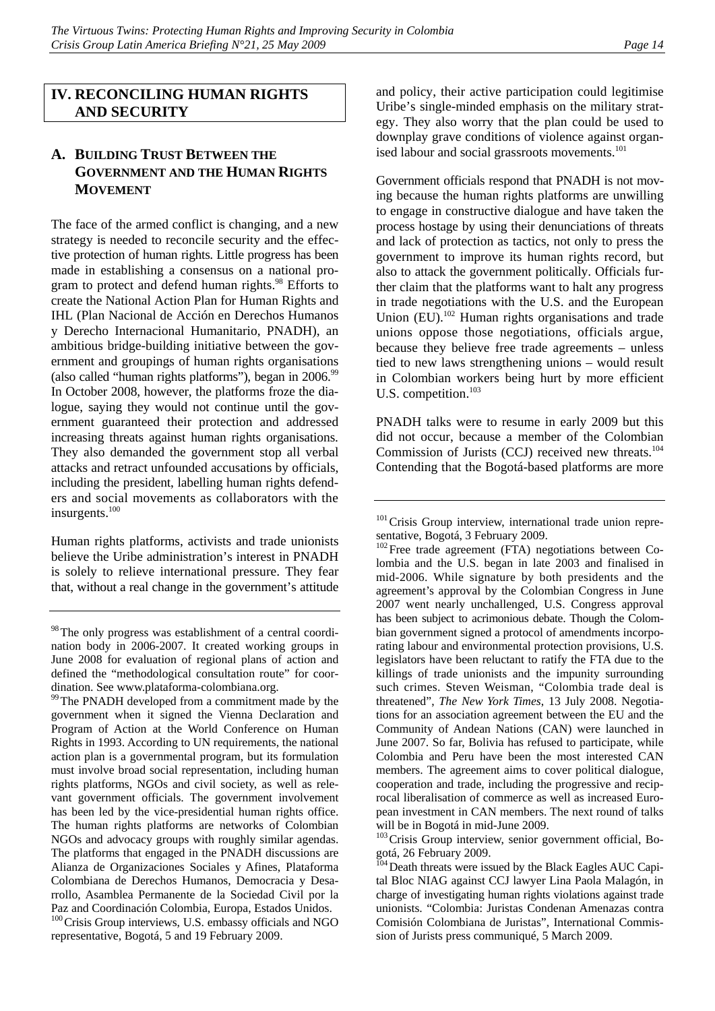# **IV. RECONCILING HUMAN RIGHTS AND SECURITY**

# **A. BUILDING TRUST BETWEEN THE GOVERNMENT AND THE HUMAN RIGHTS MOVEMENT**

The face of the armed conflict is changing, and a new strategy is needed to reconcile security and the effective protection of human rights. Little progress has been made in establishing a consensus on a national program to protect and defend human rights.<sup>98</sup> Efforts to create the National Action Plan for Human Rights and IHL (Plan Nacional de Acción en Derechos Humanos y Derecho Internacional Humanitario, PNADH), an ambitious bridge-building initiative between the government and groupings of human rights organisations (also called "human rights platforms"), began in  $2006.^{99}$ In October 2008, however, the platforms froze the dialogue, saying they would not continue until the government guaranteed their protection and addressed increasing threats against human rights organisations. They also demanded the government stop all verbal attacks and retract unfounded accusations by officials, including the president, labelling human rights defenders and social movements as collaborators with the insurgents.<sup>100</sup>

Human rights platforms, activists and trade unionists believe the Uribe administration's interest in PNADH is solely to relieve international pressure. They fear that, without a real change in the government's attitude and policy, their active participation could legitimise Uribe's single-minded emphasis on the military strategy. They also worry that the plan could be used to downplay grave conditions of violence against organised labour and social grassroots movements.<sup>101</sup>

Government officials respond that PNADH is not moving because the human rights platforms are unwilling to engage in constructive dialogue and have taken the process hostage by using their denunciations of threats and lack of protection as tactics, not only to press the government to improve its human rights record, but also to attack the government politically. Officials further claim that the platforms want to halt any progress in trade negotiations with the U.S. and the European Union  $(EU)$ .<sup>102</sup> Human rights organisations and trade unions oppose those negotiations, officials argue, because they believe free trade agreements – unless tied to new laws strengthening unions – would result in Colombian workers being hurt by more efficient U.S. competition.<sup>103</sup>

PNADH talks were to resume in early 2009 but this did not occur, because a member of the Colombian Commission of Jurists (CCJ) received new threats.<sup>104</sup> Contending that the Bogotá-based platforms are more

<sup>102</sup>Free trade agreement (FTA) negotiations between Colombia and the U.S. began in late 2003 and finalised in mid-2006. While signature by both presidents and the agreement's approval by the Colombian Congress in June 2007 went nearly unchallenged, U.S. Congress approval has been subject to acrimonious debate. Though the Colombian government signed a protocol of amendments incorporating labour and environmental protection provisions, U.S. legislators have been reluctant to ratify the FTA due to the killings of trade unionists and the impunity surrounding such crimes. Steven Weisman, "Colombia trade deal is threatened", *The New York Times*, 13 July 2008. Negotiations for an association agreement between the EU and the Community of Andean Nations (CAN) were launched in June 2007. So far, Bolivia has refused to participate, while Colombia and Peru have been the most interested CAN members. The agreement aims to cover political dialogue, cooperation and trade, including the progressive and reciprocal liberalisation of commerce as well as increased European investment in CAN members. The next round of talks will be in Bogotá in mid-June 2009.

<sup>103</sup> Crisis Group interview, senior government official, Bogotá, 26 February 2009.

<sup>104</sup> Death threats were issued by the Black Eagles AUC Capital Bloc NIAG against CCJ lawyer Lina Paola Malagón, in charge of investigating human rights violations against trade unionists. "Colombia: Juristas Condenan Amenazas contra Comisión Colombiana de Juristas", International Commission of Jurists press communiqué, 5 March 2009.

<sup>&</sup>lt;sup>98</sup>The only progress was establishment of a central coordination body in 2006-2007. It created working groups in June 2008 for evaluation of regional plans of action and defined the "methodological consultation route" for coordination. See www.plataforma-colombiana.org.

<sup>&</sup>lt;sup>99</sup>The PNADH developed from a commitment made by the government when it signed the Vienna Declaration and Program of Action at the World Conference on Human Rights in 1993. According to UN requirements, the national action plan is a governmental program, but its formulation must involve broad social representation, including human rights platforms, NGOs and civil society, as well as relevant government officials. The government involvement has been led by the vice-presidential human rights office. The human rights platforms are networks of Colombian NGOs and advocacy groups with roughly similar agendas. The platforms that engaged in the PNADH discussions are Alianza de Organizaciones Sociales y Afines, Plataforma Colombiana de Derechos Humanos, Democracia y Desarrollo, Asamblea Permanente de la Sociedad Civil por la Paz and Coordinación Colombia, Europa, Estados Unidos. <sup>100</sup> Crisis Group interviews, U.S. embassy officials and NGO representative, Bogotá, 5 and 19 February 2009.

<sup>&</sup>lt;sup>101</sup> Crisis Group interview, international trade union representative, Bogotá, 3 February 2009.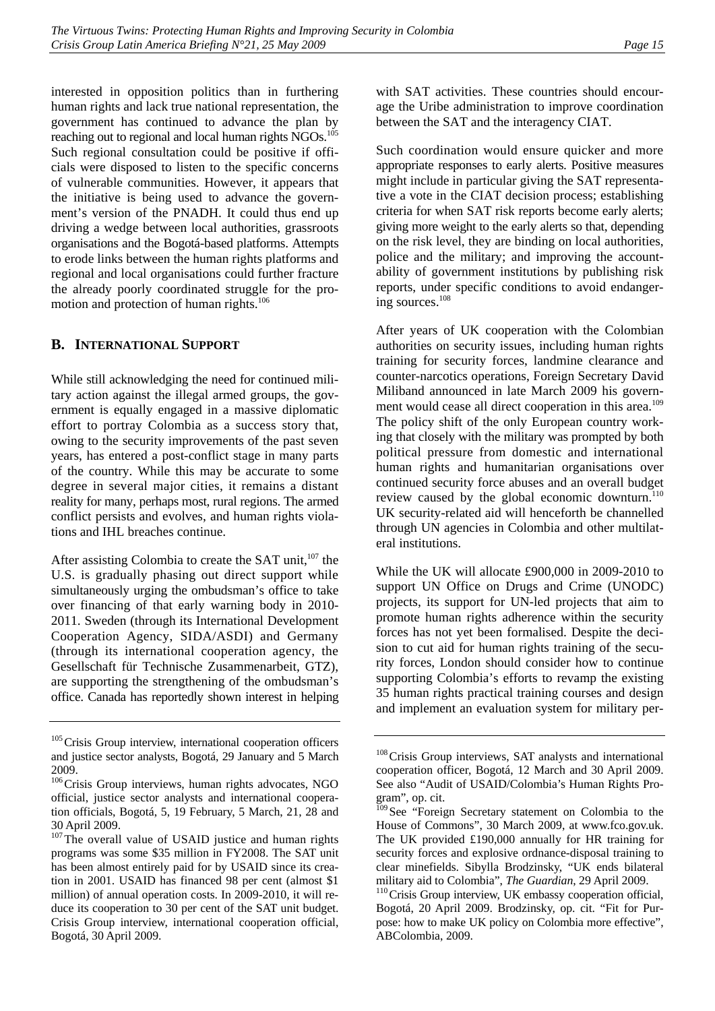interested in opposition politics than in furthering human rights and lack true national representation, the government has continued to advance the plan by reaching out to regional and local human rights NGOs.<sup>105</sup> Such regional consultation could be positive if officials were disposed to listen to the specific concerns of vulnerable communities. However, it appears that the initiative is being used to advance the government's version of the PNADH. It could thus end up driving a wedge between local authorities, grassroots organisations and the Bogotá-based platforms. Attempts to erode links between the human rights platforms and regional and local organisations could further fracture the already poorly coordinated struggle for the promotion and protection of human rights.<sup>106</sup>

### **B. INTERNATIONAL SUPPORT**

While still acknowledging the need for continued military action against the illegal armed groups, the government is equally engaged in a massive diplomatic effort to portray Colombia as a success story that, owing to the security improvements of the past seven years, has entered a post-conflict stage in many parts of the country. While this may be accurate to some degree in several major cities, it remains a distant reality for many, perhaps most, rural regions. The armed conflict persists and evolves, and human rights violations and IHL breaches continue.

After assisting Colombia to create the SAT unit,<sup>107</sup> the U.S. is gradually phasing out direct support while simultaneously urging the ombudsman's office to take over financing of that early warning body in 2010- 2011. Sweden (through its International Development Cooperation Agency, SIDA/ASDI) and Germany (through its international cooperation agency, the Gesellschaft für Technische Zusammenarbeit, GTZ), are supporting the strengthening of the ombudsman's office. Canada has reportedly shown interest in helping

with SAT activities. These countries should encourage the Uribe administration to improve coordination between the SAT and the interagency CIAT.

Such coordination would ensure quicker and more appropriate responses to early alerts. Positive measures might include in particular giving the SAT representative a vote in the CIAT decision process; establishing criteria for when SAT risk reports become early alerts; giving more weight to the early alerts so that, depending on the risk level, they are binding on local authorities, police and the military; and improving the accountability of government institutions by publishing risk reports, under specific conditions to avoid endangering sources.108

After years of UK cooperation with the Colombian authorities on security issues, including human rights training for security forces, landmine clearance and counter-narcotics operations, Foreign Secretary David Miliband announced in late March 2009 his government would cease all direct cooperation in this area.<sup>109</sup> The policy shift of the only European country working that closely with the military was prompted by both political pressure from domestic and international human rights and humanitarian organisations over continued security force abuses and an overall budget review caused by the global economic downturn.<sup>110</sup> UK security-related aid will henceforth be channelled through UN agencies in Colombia and other multilateral institutions.

While the UK will allocate £900,000 in 2009-2010 to support UN Office on Drugs and Crime (UNODC) projects, its support for UN-led projects that aim to promote human rights adherence within the security forces has not yet been formalised. Despite the decision to cut aid for human rights training of the security forces, London should consider how to continue supporting Colombia's efforts to revamp the existing 35 human rights practical training courses and design and implement an evaluation system for military per-

<sup>&</sup>lt;sup>105</sup> Crisis Group interview, international cooperation officers and justice sector analysts, Bogotá, 29 January and 5 March 2009.

<sup>&</sup>lt;sup>106</sup>Crisis Group interviews, human rights advocates, NGO official, justice sector analysts and international cooperation officials, Bogotá, 5, 19 February, 5 March, 21, 28 and 30 April 2009.

<sup>&</sup>lt;sup>107</sup>The overall value of USAID justice and human rights programs was some \$35 million in FY2008. The SAT unit has been almost entirely paid for by USAID since its creation in 2001. USAID has financed 98 per cent (almost \$1 million) of annual operation costs. In 2009-2010, it will reduce its cooperation to 30 per cent of the SAT unit budget. Crisis Group interview, international cooperation official, Bogotá, 30 April 2009.

<sup>&</sup>lt;sup>108</sup> Crisis Group interviews, SAT analysts and international cooperation officer, Bogotá, 12 March and 30 April 2009. See also "Audit of USAID/Colombia's Human Rights Program", op. cit.

<sup>&</sup>lt;sup>109</sup> See "Foreign Secretary statement on Colombia to the House of Commons", 30 March 2009, at www.fco.gov.uk. The UK provided £190,000 annually for HR training for security forces and explosive ordnance-disposal training to clear minefields. Sibylla Brodzinsky, "UK ends bilateral military aid to Colombia", *The Guardian*, 29 April 2009.<br><sup>110</sup>Crisis Group interview, UK embassy cooperation official,

Bogotá, 20 April 2009. Brodzinsky, op. cit. "Fit for Purpose: how to make UK policy on Colombia more effective", ABColombia, 2009.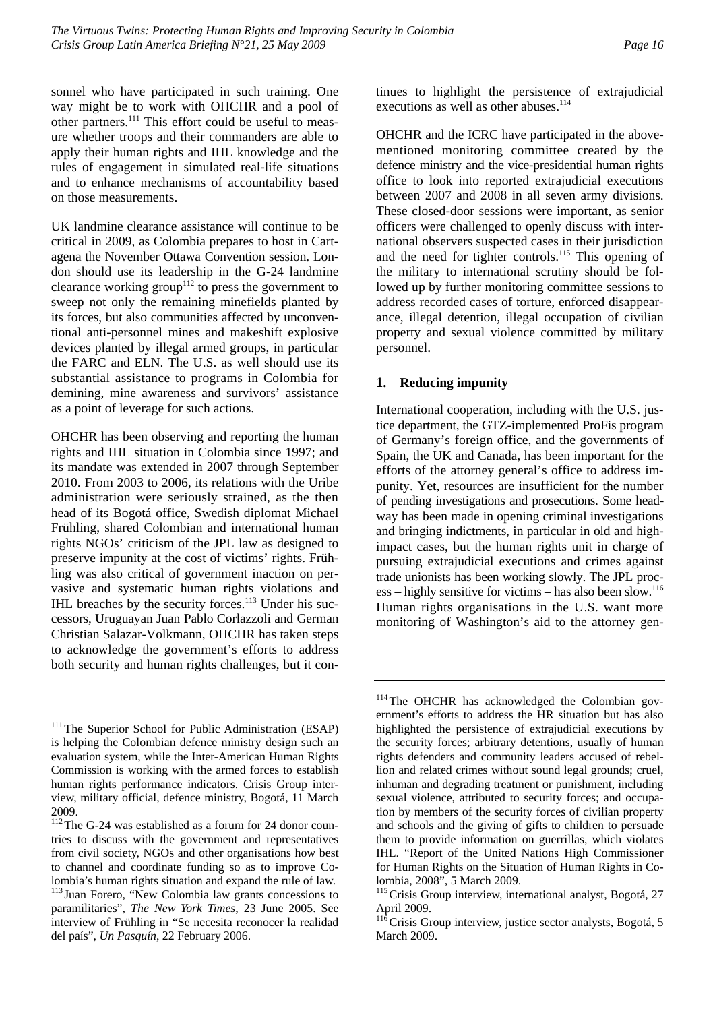sonnel who have participated in such training. One

way might be to work with OHCHR and a pool of other partners.<sup>111</sup> This effort could be useful to measure whether troops and their commanders are able to apply their human rights and IHL knowledge and the rules of engagement in simulated real-life situations and to enhance mechanisms of accountability based on those measurements.

UK landmine clearance assistance will continue to be critical in 2009, as Colombia prepares to host in Cartagena the November Ottawa Convention session. London should use its leadership in the G-24 landmine clearance working group<sup>112</sup> to press the government to sweep not only the remaining minefields planted by its forces, but also communities affected by unconventional anti-personnel mines and makeshift explosive devices planted by illegal armed groups, in particular the FARC and ELN. The U.S. as well should use its substantial assistance to programs in Colombia for demining, mine awareness and survivors' assistance as a point of leverage for such actions.

OHCHR has been observing and reporting the human rights and IHL situation in Colombia since 1997; and its mandate was extended in 2007 through September 2010. From 2003 to 2006, its relations with the Uribe administration were seriously strained, as the then head of its Bogotá office, Swedish diplomat Michael Frühling, shared Colombian and international human rights NGOs' criticism of the JPL law as designed to preserve impunity at the cost of victims' rights. Frühling was also critical of government inaction on pervasive and systematic human rights violations and IHL breaches by the security forces. $113$  Under his successors, Uruguayan Juan Pablo Corlazzoli and German Christian Salazar-Volkmann, OHCHR has taken steps to acknowledge the government's efforts to address both security and human rights challenges, but it continues to highlight the persistence of extrajudicial executions as well as other abuses. $114$ 

OHCHR and the ICRC have participated in the abovementioned monitoring committee created by the defence ministry and the vice-presidential human rights office to look into reported extrajudicial executions between 2007 and 2008 in all seven army divisions. These closed-door sessions were important, as senior officers were challenged to openly discuss with international observers suspected cases in their jurisdiction and the need for tighter controls.<sup>115</sup> This opening of the military to international scrutiny should be followed up by further monitoring committee sessions to address recorded cases of torture, enforced disappearance, illegal detention, illegal occupation of civilian property and sexual violence committed by military personnel.

# **1. Reducing impunity**

International cooperation, including with the U.S. justice department, the GTZ-implemented ProFis program of Germany's foreign office, and the governments of Spain, the UK and Canada, has been important for the efforts of the attorney general's office to address impunity. Yet, resources are insufficient for the number of pending investigations and prosecutions. Some headway has been made in opening criminal investigations and bringing indictments, in particular in old and highimpact cases, but the human rights unit in charge of pursuing extrajudicial executions and crimes against trade unionists has been working slowly. The JPL process – highly sensitive for victims – has also been slow.<sup>116</sup> Human rights organisations in the U.S. want more monitoring of Washington's aid to the attorney gen-

<sup>&</sup>lt;sup>111</sup>The Superior School for Public Administration (ESAP) is helping the Colombian defence ministry design such an evaluation system, while the Inter-American Human Rights Commission is working with the armed forces to establish human rights performance indicators. Crisis Group interview, military official, defence ministry, Bogotá, 11 March 2009.

<sup>&</sup>lt;sup>112</sup>The G-24 was established as a forum for 24 donor countries to discuss with the government and representatives from civil society, NGOs and other organisations how best to channel and coordinate funding so as to improve Colombia's human rights situation and expand the rule of law.

<sup>113</sup> Juan Forero, "New Colombia law grants concessions to paramilitaries", *The New York Times*, 23 June 2005. See interview of Frühling in "Se necesita reconocer la realidad del país", *Un Pasquín*, 22 February 2006.

<sup>&</sup>lt;sup>114</sup>The OHCHR has acknowledged the Colombian government's efforts to address the HR situation but has also highlighted the persistence of extrajudicial executions by the security forces; arbitrary detentions, usually of human rights defenders and community leaders accused of rebellion and related crimes without sound legal grounds; cruel, inhuman and degrading treatment or punishment, including sexual violence, attributed to security forces; and occupation by members of the security forces of civilian property and schools and the giving of gifts to children to persuade them to provide information on guerrillas, which violates IHL. "Report of the United Nations High Commissioner for Human Rights on the Situation of Human Rights in Colombia, 2008", 5 March 2009.

<sup>&</sup>lt;sup>115</sup> Crisis Group interview, international analyst, Bogotá, 27 April 2009.

 $11\overline{6}$ Crisis Group interview, justice sector analysts, Bogotá, 5 March 2009.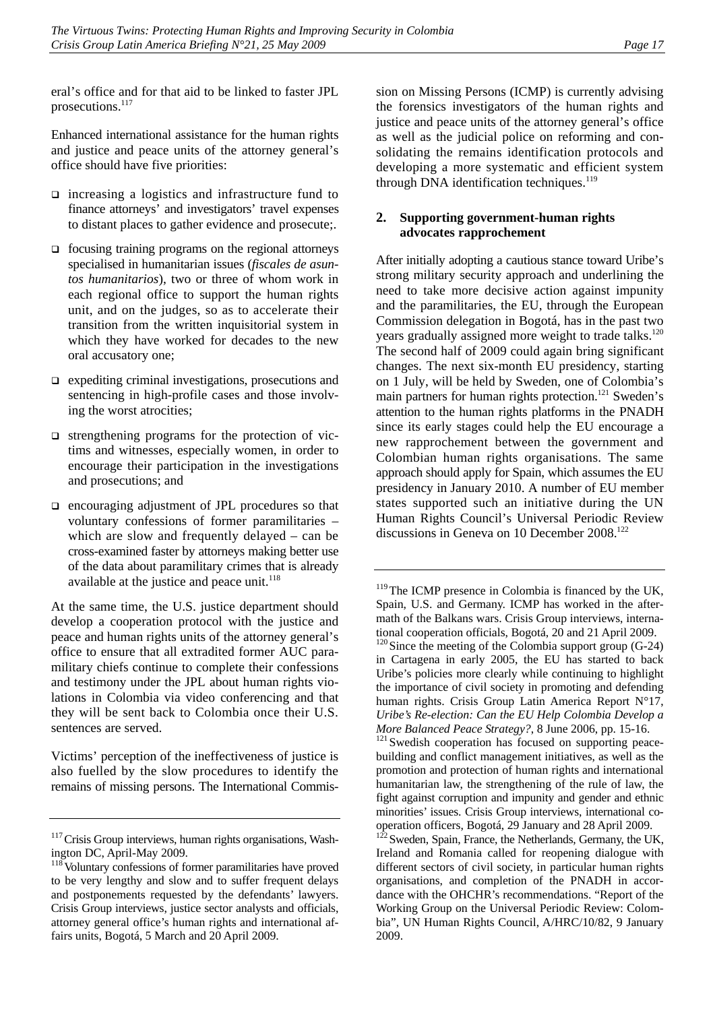eral's office and for that aid to be linked to faster JPL prosecutions.<sup>117</sup>

Enhanced international assistance for the human rights and justice and peace units of the attorney general's office should have five priorities:

- $\Box$  increasing a logistics and infrastructure fund to finance attorneys' and investigators' travel expenses to distant places to gather evidence and prosecute;.
- $\Box$  focusing training programs on the regional attorneys specialised in humanitarian issues (*fiscales de asuntos humanitarios*), two or three of whom work in each regional office to support the human rights unit, and on the judges, so as to accelerate their transition from the written inquisitorial system in which they have worked for decades to the new oral accusatory one;
- $\Box$  expediting criminal investigations, prosecutions and sentencing in high-profile cases and those involving the worst atrocities;
- $\Box$  strengthening programs for the protection of victims and witnesses, especially women, in order to encourage their participation in the investigations and prosecutions; and
- $\Box$  encouraging adjustment of JPL procedures so that voluntary confessions of former paramilitaries – which are slow and frequently delayed – can be cross-examined faster by attorneys making better use of the data about paramilitary crimes that is already available at the justice and peace unit.<sup>118</sup>

At the same time, the U.S. justice department should develop a cooperation protocol with the justice and peace and human rights units of the attorney general's office to ensure that all extradited former AUC paramilitary chiefs continue to complete their confessions and testimony under the JPL about human rights violations in Colombia via video conferencing and that they will be sent back to Colombia once their U.S. sentences are served.

Victims' perception of the ineffectiveness of justice is also fuelled by the slow procedures to identify the remains of missing persons. The International Commis-

sion on Missing Persons (ICMP) is currently advising the forensics investigators of the human rights and justice and peace units of the attorney general's office as well as the judicial police on reforming and consolidating the remains identification protocols and developing a more systematic and efficient system through DNA identification techniques. $119$ 

### **2. Supporting government-human rights advocates rapprochement**

After initially adopting a cautious stance toward Uribe's strong military security approach and underlining the need to take more decisive action against impunity and the paramilitaries, the EU, through the European Commission delegation in Bogotá, has in the past two years gradually assigned more weight to trade talks.<sup>120</sup> The second half of 2009 could again bring significant changes. The next six-month EU presidency, starting on 1 July, will be held by Sweden, one of Colombia's main partners for human rights protection.<sup>121</sup> Sweden's attention to the human rights platforms in the PNADH since its early stages could help the EU encourage a new rapprochement between the government and Colombian human rights organisations. The same approach should apply for Spain, which assumes the EU presidency in January 2010. A number of EU member states supported such an initiative during the UN Human Rights Council's Universal Periodic Review discussions in Geneva on 10 December 2008.<sup>122</sup>

*More Balanced Peace Strategy?*, 8 June 2006, pp. 15-16.<br><sup>121</sup> Swedish cooperation has focused on supporting peacebuilding and conflict management initiatives, as well as the promotion and protection of human rights and international humanitarian law, the strengthening of the rule of law, the fight against corruption and impunity and gender and ethnic minorities' issues. Crisis Group interviews, international cooperation officers, Bogotá, 29 January and 28 April 2009.

<sup>122</sup> Sweden, Spain, France, the Netherlands, Germany, the UK, Ireland and Romania called for reopening dialogue with different sectors of civil society, in particular human rights organisations, and completion of the PNADH in accordance with the OHCHR's recommendations. "Report of the Working Group on the Universal Periodic Review: Colombia", UN Human Rights Council, A/HRC/10/82, 9 January 2009.

 $117$ Crisis Group interviews, human rights organisations, Washington DC, April-May 2009.

<sup>&</sup>lt;sup>118</sup>Voluntary confessions of former paramilitaries have proved to be very lengthy and slow and to suffer frequent delays and postponements requested by the defendants' lawyers. Crisis Group interviews, justice sector analysts and officials, attorney general office's human rights and international affairs units, Bogotá, 5 March and 20 April 2009.

 $119$ The ICMP presence in Colombia is financed by the UK, Spain, U.S. and Germany. ICMP has worked in the aftermath of the Balkans wars. Crisis Group interviews, international cooperation officials, Bogotá, 20 and 21 April 2009.

 $120$  Since the meeting of the Colombia support group (G-24) in Cartagena in early 2005, the EU has started to back Uribe's policies more clearly while continuing to highlight the importance of civil society in promoting and defending human rights. Crisis Group Latin America Report N°17, *Uribe's Re-election: Can the EU Help Colombia Develop a*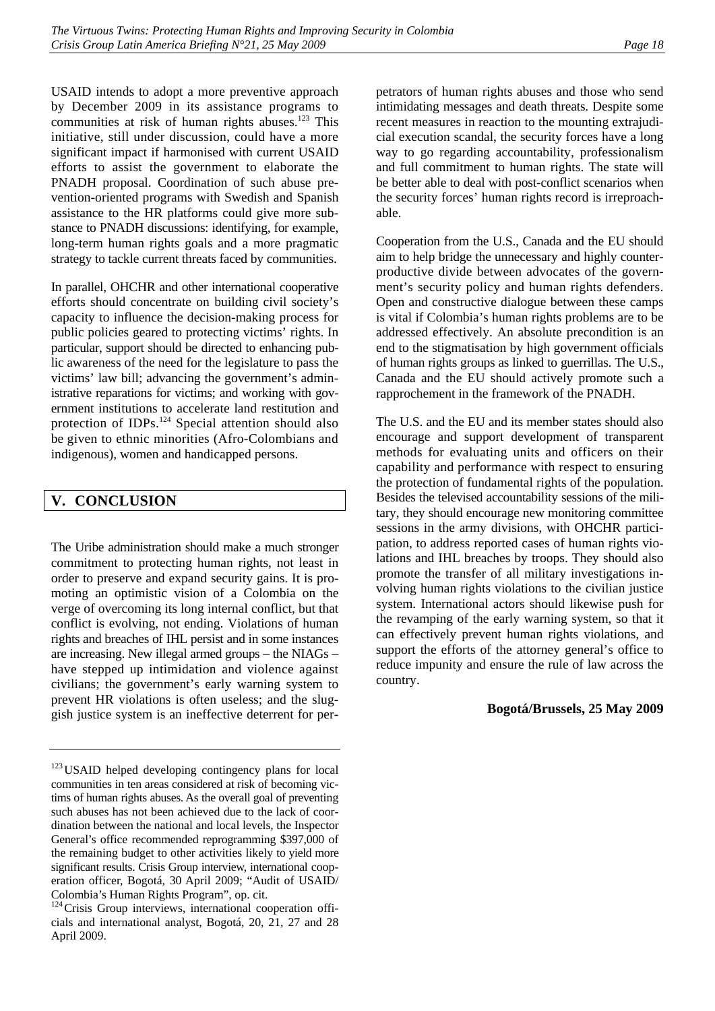USAID intends to adopt a more preventive approach by December 2009 in its assistance programs to communities at risk of human rights abuses.<sup>123</sup> This initiative, still under discussion, could have a more significant impact if harmonised with current USAID efforts to assist the government to elaborate the PNADH proposal. Coordination of such abuse prevention-oriented programs with Swedish and Spanish assistance to the HR platforms could give more substance to PNADH discussions: identifying, for example, long-term human rights goals and a more pragmatic strategy to tackle current threats faced by communities.

In parallel, OHCHR and other international cooperative efforts should concentrate on building civil society's capacity to influence the decision-making process for public policies geared to protecting victims' rights. In particular, support should be directed to enhancing public awareness of the need for the legislature to pass the victims' law bill; advancing the government's administrative reparations for victims; and working with government institutions to accelerate land restitution and protection of IDPs.<sup>124</sup> Special attention should also be given to ethnic minorities (Afro-Colombians and indigenous), women and handicapped persons.

# **V. CONCLUSION**

The Uribe administration should make a much stronger commitment to protecting human rights, not least in order to preserve and expand security gains. It is promoting an optimistic vision of a Colombia on the verge of overcoming its long internal conflict, but that conflict is evolving, not ending. Violations of human rights and breaches of IHL persist and in some instances are increasing. New illegal armed groups – the NIAGs – have stepped up intimidation and violence against civilians; the government's early warning system to prevent HR violations is often useless; and the sluggish justice system is an ineffective deterrent for perpetrators of human rights abuses and those who send intimidating messages and death threats. Despite some recent measures in reaction to the mounting extrajudicial execution scandal, the security forces have a long way to go regarding accountability, professionalism and full commitment to human rights. The state will be better able to deal with post-conflict scenarios when the security forces' human rights record is irreproachable.

Cooperation from the U.S., Canada and the EU should aim to help bridge the unnecessary and highly counterproductive divide between advocates of the government's security policy and human rights defenders. Open and constructive dialogue between these camps is vital if Colombia's human rights problems are to be addressed effectively. An absolute precondition is an end to the stigmatisation by high government officials of human rights groups as linked to guerrillas. The U.S., Canada and the EU should actively promote such a rapprochement in the framework of the PNADH.

The U.S. and the EU and its member states should also encourage and support development of transparent methods for evaluating units and officers on their capability and performance with respect to ensuring the protection of fundamental rights of the population. Besides the televised accountability sessions of the military, they should encourage new monitoring committee sessions in the army divisions, with OHCHR participation, to address reported cases of human rights violations and IHL breaches by troops. They should also promote the transfer of all military investigations involving human rights violations to the civilian justice system. International actors should likewise push for the revamping of the early warning system, so that it can effectively prevent human rights violations, and support the efforts of the attorney general's office to reduce impunity and ensure the rule of law across the country.

#### **Bogotá/Brussels, 25 May 2009**

<sup>&</sup>lt;sup>123</sup> USAID helped developing contingency plans for local communities in ten areas considered at risk of becoming victims of human rights abuses. As the overall goal of preventing such abuses has not been achieved due to the lack of coordination between the national and local levels, the Inspector General's office recommended reprogramming \$397,000 of the remaining budget to other activities likely to yield more significant results. Crisis Group interview, international cooperation officer, Bogotá, 30 April 2009; "Audit of USAID/ Colombia's Human Rights Program", op. cit.

<sup>&</sup>lt;sup>124</sup>Crisis Group interviews, international cooperation officials and international analyst, Bogotá, 20, 21, 27 and 28 April 2009.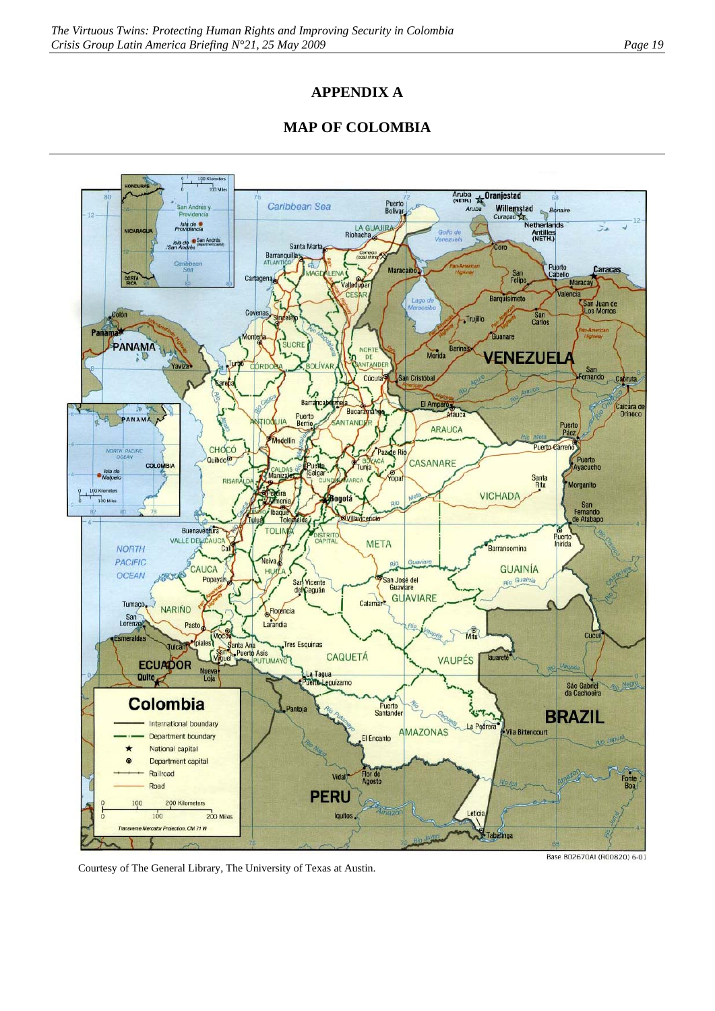# **APPENDIX A**

# **MAP OF COLOMBIA**



Courtesy of The General Library, The University of Texas at Austin.

Base 802670AI (R00820) 6-01